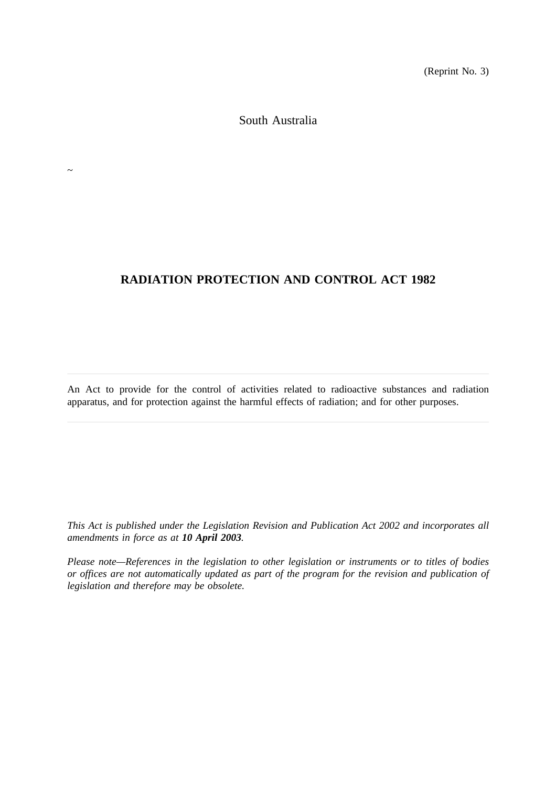(Reprint No. 3)

South Australia

 $\sim$ 

# **RADIATION PROTECTION AND CONTROL ACT 1982**

An Act to provide for the control of activities related to radioactive substances and radiation apparatus, and for protection against the harmful effects of radiation; and for other purposes.

*This Act is published under the Legislation Revision and Publication Act 2002 and incorporates all amendments in force as at 10 April 2003.*

*Please note—References in the legislation to other legislation or instruments or to titles of bodies or offices are not automatically updated as part of the program for the revision and publication of legislation and therefore may be obsolete.*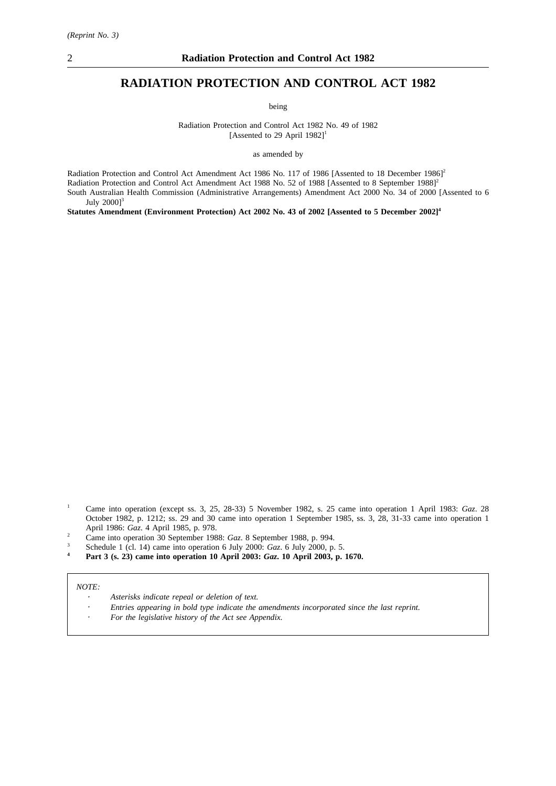# **RADIATION PROTECTION AND CONTROL ACT 1982**

being

Radiation Protection and Control Act 1982 No. 49 of 1982 [Assented to 29 April  $1982$ ]<sup>1</sup>

as amended by

Radiation Protection and Control Act Amendment Act 1986 No. 117 of 1986 [Assented to 18 December 1986]<sup>2</sup> Radiation Protection and Control Act Amendment Act 1988 No. 52 of 1988 [Assented to 8 September 1988]<sup>2</sup> South Australian Health Commission (Administrative Arrangements) Amendment Act 2000 No. 34 of 2000 [Assented to 6 July  $2000$ <sup>3</sup>

**Statutes Amendment (Environment Protection) Act 2002 No. 43 of 2002 [Assented to 5 December 2002]4**

- <sup>2</sup> Came into operation 30 September 1988: *Gaz*. 8 September 1988, p. 994.
- $\frac{3}{4}$  Schedule 1 (cl. 14) came into operation 6 July 2000: *Gaz*. 6 July 2000, p. 5.
- **<sup>4</sup> Part 3 (s. 23) came into operation 10 April 2003:** *Gaz***. 10 April 2003, p. 1670.**

#### *NOTE:*

- *Asterisks indicate repeal or deletion of text.*
- *Entries appearing in bold type indicate the amendments incorporated since the last reprint.*
- *For the legislative history of the Act see Appendix.*

<sup>1</sup> Came into operation (except ss. 3, 25, 28-33) 5 November 1982, s. 25 came into operation 1 April 1983: *Gaz*. 28 October 1982, p. 1212; ss. 29 and 30 came into operation 1 September 1985, ss. 3, 28, 31-33 came into operation 1 April 1986: *Gaz*. 4 April 1985, p. 978.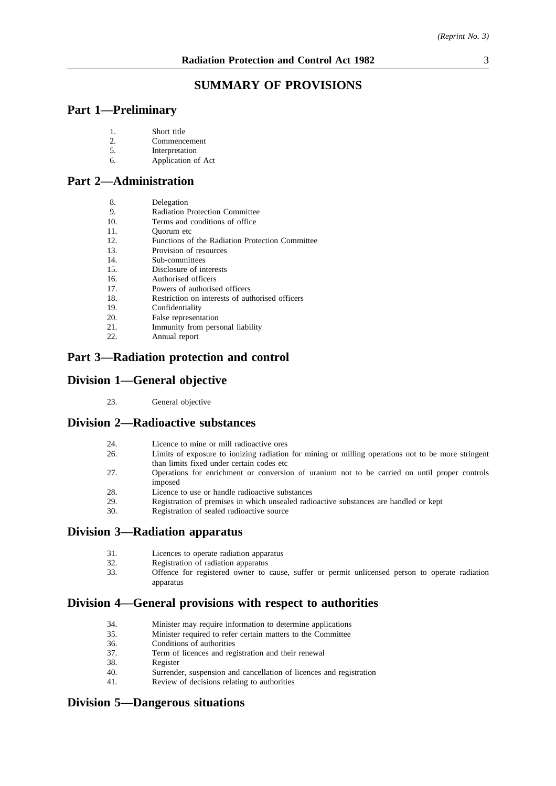# **SUMMARY OF PROVISIONS**

# **Part 1—Preliminary**

- 2. Commencement<br>5. Interpretation
- **Interpretation**
- 6. Application of Act

# **Part 2—Administration**

| 8.<br>Delegation |
|------------------|
|------------------|

- 9. Radiation Protection Committee
- 10. Terms and conditions of office<br>11. Ouorum etc
- 11. Quorum etc<br>12. Functions of
- Functions of the Radiation Protection Committee
- 13. Provision of resources<br>14. Sub-committees
- 14. Sub-committees<br>15. Disclosure of in
- Disclosure of interests
- 16. Authorised officers
- 17. Powers of authorised officers
- 18. Restriction on interests of authorised officers
- 19. Confidentiality
- 20. False representation
- 21. Immunity from personal liability
- 22. Annual report

# **Part 3—Radiation protection and control**

# **Division 1—General objective**

23. General objective

# **Division 2—Radioactive substances**

- 24. Licence to mine or mill radioactive ores<br>26. Limits of exposure to ionizing radiation
- Limits of exposure to ionizing radiation for mining or milling operations not to be more stringent than limits fixed under certain codes etc
- 27. Operations for enrichment or conversion of uranium not to be carried on until proper controls imposed
- 28. Licence to use or handle radioactive substances
- 29. Registration of premises in which unsealed radioactive substances are handled or kept 30.
- Registration of sealed radioactive source

# **Division 3—Radiation apparatus**

- 31. Licences to operate radiation apparatus
- 32. Registration of radiation apparatus<br>33. Offence for registered owner to
- 33. Offence for registered owner to cause, suffer or permit unlicensed person to operate radiation apparatus

# **Division 4—General provisions with respect to authorities**

- 34. Minister may require information to determine applications
- 35. Minister required to refer certain matters to the Committee
- 36. Conditions of authorities<br>37. Term of licences and reg
- Term of licences and registration and their renewal
- 38. Register<br>40 Surrende
- 40. Surrender, suspension and cancellation of licences and registration 41. Review of decisions relating to authorities
- Review of decisions relating to authorities

# **Division 5—Dangerous situations**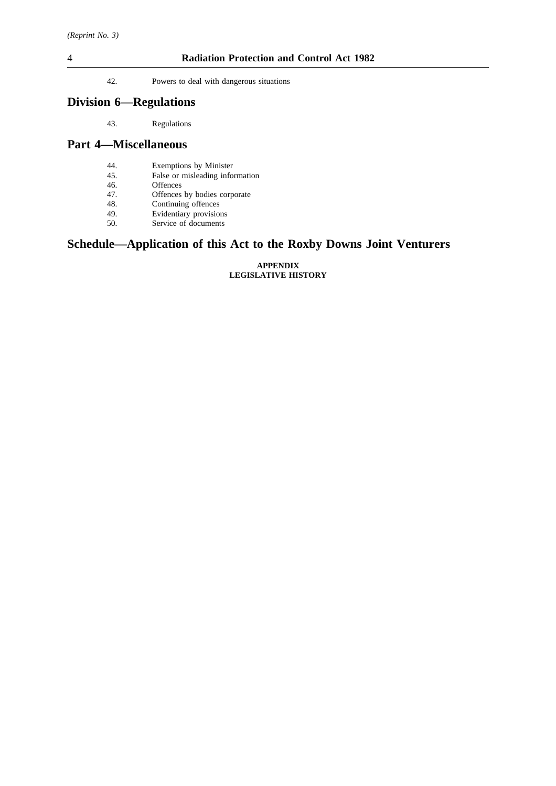## 4 **Radiation Protection and Control Act 1982**

42. Powers to deal with dangerous situations

# **Division 6—Regulations**

43. Regulations

## **Part 4—Miscellaneous**

- 44. Exemptions by Minister
- 45. False or misleading information 46.
- 46. Offences<br>47. Offences
- Offences by bodies corporate
- 48. Continuing offences<br>49. Evidentiary provision
- 49. Evidentiary provisions<br>50. Service of documents Service of documents
- 

# **Schedule—Application of this Act to the Roxby Downs Joint Venturers**

#### **APPENDIX LEGISLATIVE HISTORY**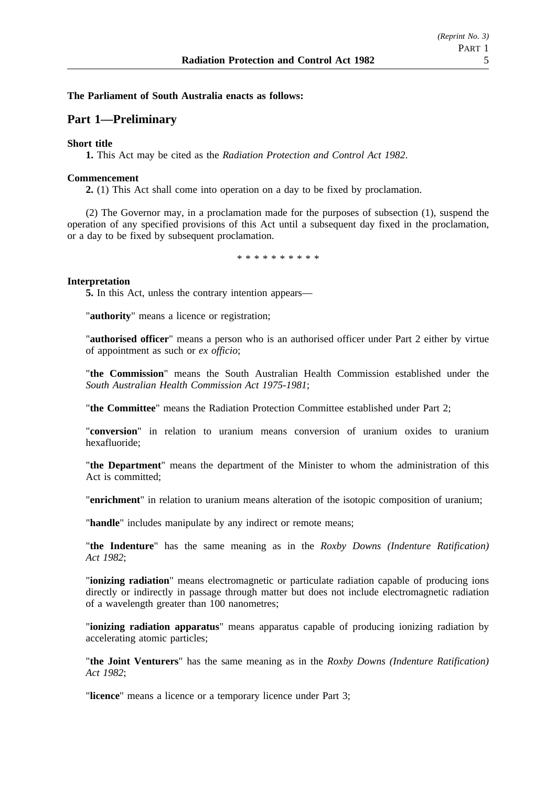## **The Parliament of South Australia enacts as follows:**

# **Part 1—Preliminary**

## **Short title**

**1.** This Act may be cited as the *Radiation Protection and Control Act 1982*.

## **Commencement**

**2.** (1) This Act shall come into operation on a day to be fixed by proclamation.

(2) The Governor may, in a proclamation made for the purposes of subsection (1), suspend the operation of any specified provisions of this Act until a subsequent day fixed in the proclamation, or a day to be fixed by subsequent proclamation.

\*\*\*\*\*\*\*\*\*\*

## **Interpretation**

**5.** In this Act, unless the contrary intention appears—

"**authority**" means a licence or registration;

"**authorised officer**" means a person who is an authorised officer under Part 2 either by virtue of appointment as such or *ex officio*;

"**the Commission**" means the South Australian Health Commission established under the *South Australian Health Commission Act 1975-1981*;

"**the Committee**" means the Radiation Protection Committee established under Part 2;

"**conversion**" in relation to uranium means conversion of uranium oxides to uranium hexafluoride;

"**the Department**" means the department of the Minister to whom the administration of this Act is committed;

"**enrichment**" in relation to uranium means alteration of the isotopic composition of uranium;

"**handle**" includes manipulate by any indirect or remote means;

"**the Indenture**" has the same meaning as in the *Roxby Downs (Indenture Ratification) Act 1982*;

"**ionizing radiation**" means electromagnetic or particulate radiation capable of producing ions directly or indirectly in passage through matter but does not include electromagnetic radiation of a wavelength greater than 100 nanometres;

"**ionizing radiation apparatus**" means apparatus capable of producing ionizing radiation by accelerating atomic particles;

"**the Joint Venturers**" has the same meaning as in the *Roxby Downs (Indenture Ratification) Act 1982*;

"**licence**" means a licence or a temporary licence under Part 3;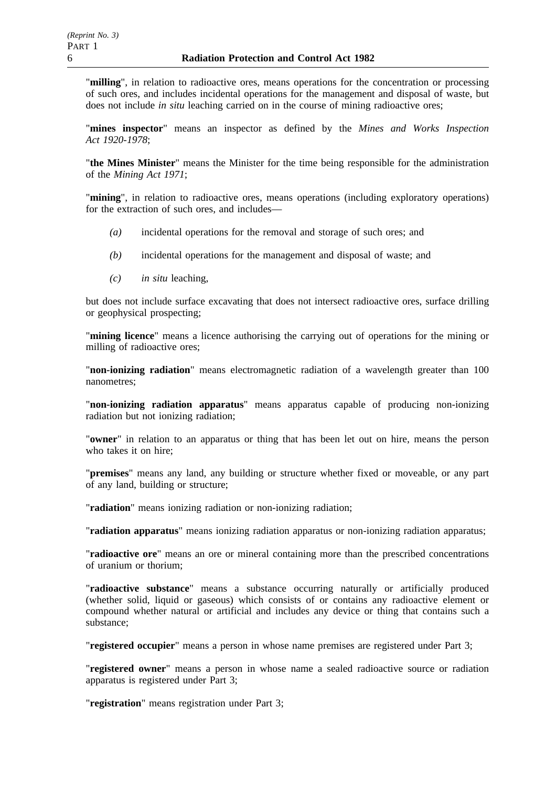"**milling**", in relation to radioactive ores, means operations for the concentration or processing of such ores, and includes incidental operations for the management and disposal of waste, but does not include *in situ* leaching carried on in the course of mining radioactive ores;

"**mines inspector**" means an inspector as defined by the *Mines and Works Inspection Act 1920-1978*;

"**the Mines Minister**" means the Minister for the time being responsible for the administration of the *Mining Act 1971*;

"**mining**", in relation to radioactive ores, means operations (including exploratory operations) for the extraction of such ores, and includes—

- *(a)* incidental operations for the removal and storage of such ores; and
- *(b)* incidental operations for the management and disposal of waste; and
- *(c) in situ* leaching,

but does not include surface excavating that does not intersect radioactive ores, surface drilling or geophysical prospecting;

"**mining licence**" means a licence authorising the carrying out of operations for the mining or milling of radioactive ores;

"**non-ionizing radiation**" means electromagnetic radiation of a wavelength greater than 100 nanometres;

"**non-ionizing radiation apparatus**" means apparatus capable of producing non-ionizing radiation but not ionizing radiation;

"**owner**" in relation to an apparatus or thing that has been let out on hire, means the person who takes it on hire;

"**premises**" means any land, any building or structure whether fixed or moveable, or any part of any land, building or structure;

"**radiation**" means ionizing radiation or non-ionizing radiation;

"**radiation apparatus**" means ionizing radiation apparatus or non-ionizing radiation apparatus;

"**radioactive ore**" means an ore or mineral containing more than the prescribed concentrations of uranium or thorium;

"**radioactive substance**" means a substance occurring naturally or artificially produced (whether solid, liquid or gaseous) which consists of or contains any radioactive element or compound whether natural or artificial and includes any device or thing that contains such a substance;

"**registered occupier**" means a person in whose name premises are registered under Part 3;

"**registered owner**" means a person in whose name a sealed radioactive source or radiation apparatus is registered under Part 3;

"**registration**" means registration under Part 3;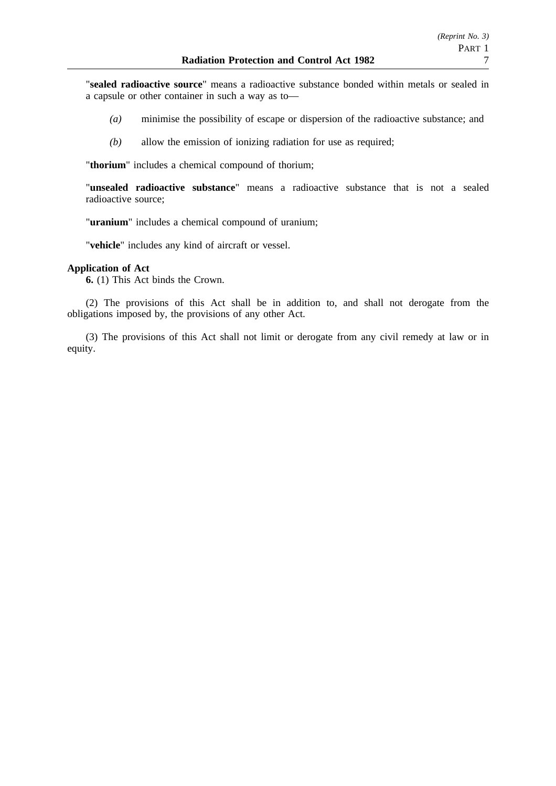"**sealed radioactive source**" means a radioactive substance bonded within metals or sealed in a capsule or other container in such a way as to—

- *(a)* minimise the possibility of escape or dispersion of the radioactive substance; and
- *(b)* allow the emission of ionizing radiation for use as required;

"**thorium**" includes a chemical compound of thorium;

"**unsealed radioactive substance**" means a radioactive substance that is not a sealed radioactive source;

"**uranium**" includes a chemical compound of uranium;

"**vehicle**" includes any kind of aircraft or vessel.

## **Application of Act**

**6.** (1) This Act binds the Crown.

(2) The provisions of this Act shall be in addition to, and shall not derogate from the obligations imposed by, the provisions of any other Act.

(3) The provisions of this Act shall not limit or derogate from any civil remedy at law or in equity.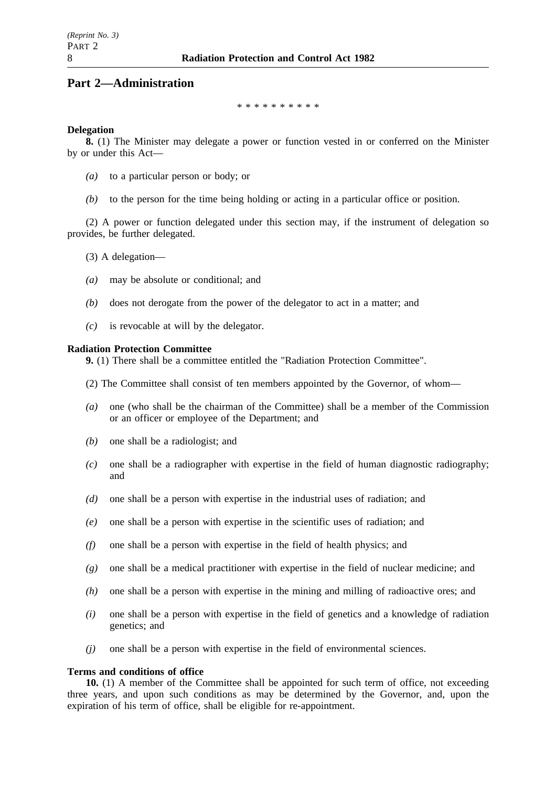# **Part 2—Administration**

\*\*\*\*\*\*\*\*\*\*

## **Delegation**

**8.** (1) The Minister may delegate a power or function vested in or conferred on the Minister by or under this Act—

- *(a)* to a particular person or body; or
- *(b)* to the person for the time being holding or acting in a particular office or position.

(2) A power or function delegated under this section may, if the instrument of delegation so provides, be further delegated.

- (3) A delegation—
- *(a)* may be absolute or conditional; and
- *(b)* does not derogate from the power of the delegator to act in a matter; and
- *(c)* is revocable at will by the delegator.

## **Radiation Protection Committee**

**9.** (1) There shall be a committee entitled the "Radiation Protection Committee".

- (2) The Committee shall consist of ten members appointed by the Governor, of whom—
- *(a)* one (who shall be the chairman of the Committee) shall be a member of the Commission or an officer or employee of the Department; and
- *(b)* one shall be a radiologist; and
- *(c)* one shall be a radiographer with expertise in the field of human diagnostic radiography; and
- *(d)* one shall be a person with expertise in the industrial uses of radiation; and
- *(e)* one shall be a person with expertise in the scientific uses of radiation; and
- *(f)* one shall be a person with expertise in the field of health physics; and
- *(g)* one shall be a medical practitioner with expertise in the field of nuclear medicine; and
- *(h)* one shall be a person with expertise in the mining and milling of radioactive ores; and
- *(i)* one shall be a person with expertise in the field of genetics and a knowledge of radiation genetics; and
- *(j)* one shall be a person with expertise in the field of environmental sciences.

#### **Terms and conditions of office**

**10.** (1) A member of the Committee shall be appointed for such term of office, not exceeding three years, and upon such conditions as may be determined by the Governor, and, upon the expiration of his term of office, shall be eligible for re-appointment.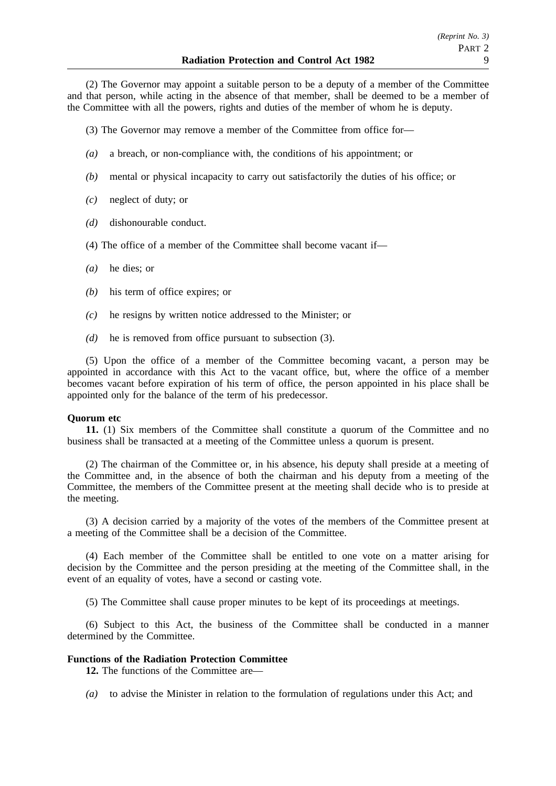(2) The Governor may appoint a suitable person to be a deputy of a member of the Committee and that person, while acting in the absence of that member, shall be deemed to be a member of the Committee with all the powers, rights and duties of the member of whom he is deputy.

(3) The Governor may remove a member of the Committee from office for—

- *(a)* a breach, or non-compliance with, the conditions of his appointment; or
- *(b)* mental or physical incapacity to carry out satisfactorily the duties of his office; or
- *(c)* neglect of duty; or
- *(d)* dishonourable conduct.
- (4) The office of a member of the Committee shall become vacant if—
- *(a)* he dies; or
- *(b)* his term of office expires; or
- *(c)* he resigns by written notice addressed to the Minister; or
- *(d)* he is removed from office pursuant to subsection (3).

(5) Upon the office of a member of the Committee becoming vacant, a person may be appointed in accordance with this Act to the vacant office, but, where the office of a member becomes vacant before expiration of his term of office, the person appointed in his place shall be appointed only for the balance of the term of his predecessor.

#### **Quorum etc**

**11.** (1) Six members of the Committee shall constitute a quorum of the Committee and no business shall be transacted at a meeting of the Committee unless a quorum is present.

(2) The chairman of the Committee or, in his absence, his deputy shall preside at a meeting of the Committee and, in the absence of both the chairman and his deputy from a meeting of the Committee, the members of the Committee present at the meeting shall decide who is to preside at the meeting.

(3) A decision carried by a majority of the votes of the members of the Committee present at a meeting of the Committee shall be a decision of the Committee.

(4) Each member of the Committee shall be entitled to one vote on a matter arising for decision by the Committee and the person presiding at the meeting of the Committee shall, in the event of an equality of votes, have a second or casting vote.

(5) The Committee shall cause proper minutes to be kept of its proceedings at meetings.

(6) Subject to this Act, the business of the Committee shall be conducted in a manner determined by the Committee.

## **Functions of the Radiation Protection Committee**

**12.** The functions of the Committee are—

*(a)* to advise the Minister in relation to the formulation of regulations under this Act; and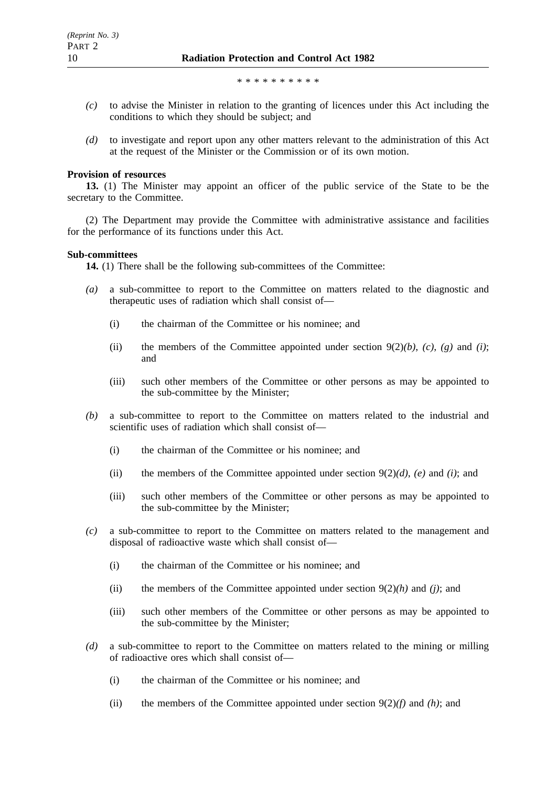\*\*\*\*\*\*\*\*\*\*

- *(c)* to advise the Minister in relation to the granting of licences under this Act including the conditions to which they should be subject; and
- *(d)* to investigate and report upon any other matters relevant to the administration of this Act at the request of the Minister or the Commission or of its own motion.

#### **Provision of resources**

**13.** (1) The Minister may appoint an officer of the public service of the State to be the secretary to the Committee.

(2) The Department may provide the Committee with administrative assistance and facilities for the performance of its functions under this Act.

#### **Sub-committees**

**14.** (1) There shall be the following sub-committees of the Committee:

- *(a)* a sub-committee to report to the Committee on matters related to the diagnostic and therapeutic uses of radiation which shall consist of—
	- (i) the chairman of the Committee or his nominee; and
	- (ii) the members of the Committee appointed under section  $9(2)(b)$ , *(c)*, *(g)* and *(i)*; and
	- (iii) such other members of the Committee or other persons as may be appointed to the sub-committee by the Minister;
- *(b)* a sub-committee to report to the Committee on matters related to the industrial and scientific uses of radiation which shall consist of—
	- (i) the chairman of the Committee or his nominee; and
	- (ii) the members of the Committee appointed under section 9(2)*(d)*, *(e)* and *(i)*; and
	- (iii) such other members of the Committee or other persons as may be appointed to the sub-committee by the Minister;
- *(c)* a sub-committee to report to the Committee on matters related to the management and disposal of radioactive waste which shall consist of—
	- (i) the chairman of the Committee or his nominee; and
	- (ii) the members of the Committee appointed under section  $9(2)(h)$  and *(i)*; and
	- (iii) such other members of the Committee or other persons as may be appointed to the sub-committee by the Minister;
- *(d)* a sub-committee to report to the Committee on matters related to the mining or milling of radioactive ores which shall consist of—
	- (i) the chairman of the Committee or his nominee; and
	- (ii) the members of the Committee appointed under section  $9(2)(f)$  and *(h)*; and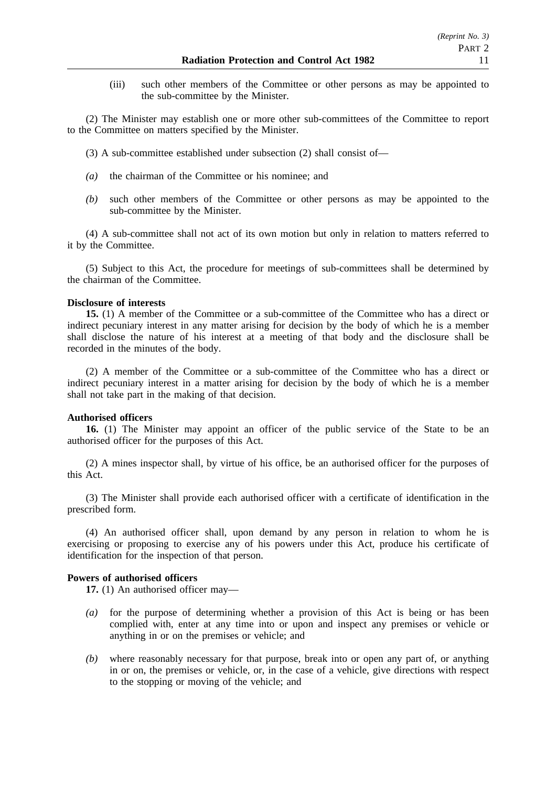(iii) such other members of the Committee or other persons as may be appointed to the sub-committee by the Minister.

(2) The Minister may establish one or more other sub-committees of the Committee to report to the Committee on matters specified by the Minister.

- (3) A sub-committee established under subsection (2) shall consist of—
- *(a)* the chairman of the Committee or his nominee; and
- *(b)* such other members of the Committee or other persons as may be appointed to the sub-committee by the Minister.

(4) A sub-committee shall not act of its own motion but only in relation to matters referred to it by the Committee.

(5) Subject to this Act, the procedure for meetings of sub-committees shall be determined by the chairman of the Committee.

## **Disclosure of interests**

**15.** (1) A member of the Committee or a sub-committee of the Committee who has a direct or indirect pecuniary interest in any matter arising for decision by the body of which he is a member shall disclose the nature of his interest at a meeting of that body and the disclosure shall be recorded in the minutes of the body.

(2) A member of the Committee or a sub-committee of the Committee who has a direct or indirect pecuniary interest in a matter arising for decision by the body of which he is a member shall not take part in the making of that decision.

#### **Authorised officers**

**16.** (1) The Minister may appoint an officer of the public service of the State to be an authorised officer for the purposes of this Act.

(2) A mines inspector shall, by virtue of his office, be an authorised officer for the purposes of this Act.

(3) The Minister shall provide each authorised officer with a certificate of identification in the prescribed form.

(4) An authorised officer shall, upon demand by any person in relation to whom he is exercising or proposing to exercise any of his powers under this Act, produce his certificate of identification for the inspection of that person.

### **Powers of authorised officers**

**17.** (1) An authorised officer may—

- *(a)* for the purpose of determining whether a provision of this Act is being or has been complied with, enter at any time into or upon and inspect any premises or vehicle or anything in or on the premises or vehicle; and
- *(b)* where reasonably necessary for that purpose, break into or open any part of, or anything in or on, the premises or vehicle, or, in the case of a vehicle, give directions with respect to the stopping or moving of the vehicle; and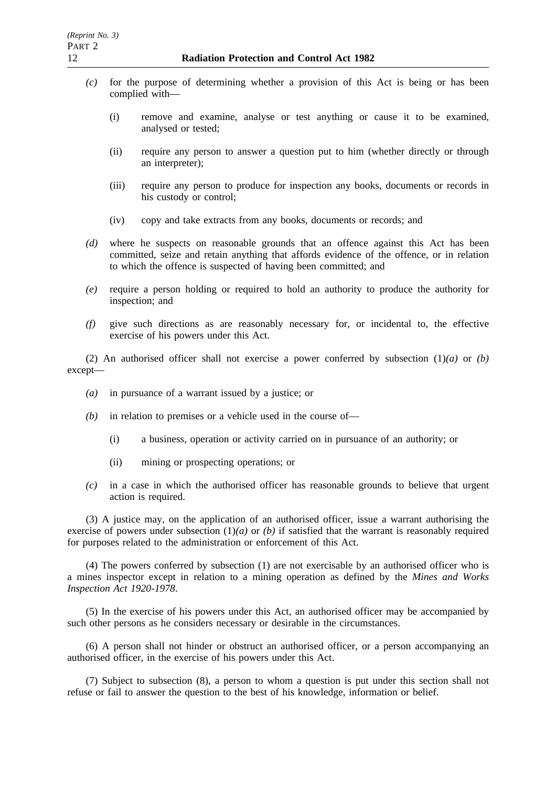- *(c)* for the purpose of determining whether a provision of this Act is being or has been complied with—
	- (i) remove and examine, analyse or test anything or cause it to be examined, analysed or tested;
	- (ii) require any person to answer a question put to him (whether directly or through an interpreter);
	- (iii) require any person to produce for inspection any books, documents or records in his custody or control;
	- (iv) copy and take extracts from any books, documents or records; and
- *(d)* where he suspects on reasonable grounds that an offence against this Act has been committed, seize and retain anything that affords evidence of the offence, or in relation to which the offence is suspected of having been committed; and
- *(e)* require a person holding or required to hold an authority to produce the authority for inspection; and
- *(f)* give such directions as are reasonably necessary for, or incidental to, the effective exercise of his powers under this Act.

(2) An authorised officer shall not exercise a power conferred by subsection (1)*(a)* or *(b)* except—

- *(a)* in pursuance of a warrant issued by a justice; or
- *(b)* in relation to premises or a vehicle used in the course of—
	- (i) a business, operation or activity carried on in pursuance of an authority; or
	- (ii) mining or prospecting operations; or
- *(c)* in a case in which the authorised officer has reasonable grounds to believe that urgent action is required.

(3) A justice may, on the application of an authorised officer, issue a warrant authorising the exercise of powers under subsection  $(1)(a)$  or *(b)* if satisfied that the warrant is reasonably required for purposes related to the administration or enforcement of this Act.

(4) The powers conferred by subsection (1) are not exercisable by an authorised officer who is a mines inspector except in relation to a mining operation as defined by the *Mines and Works Inspection Act 1920-1978*.

(5) In the exercise of his powers under this Act, an authorised officer may be accompanied by such other persons as he considers necessary or desirable in the circumstances.

(6) A person shall not hinder or obstruct an authorised officer, or a person accompanying an authorised officer, in the exercise of his powers under this Act.

(7) Subject to subsection (8), a person to whom a question is put under this section shall not refuse or fail to answer the question to the best of his knowledge, information or belief.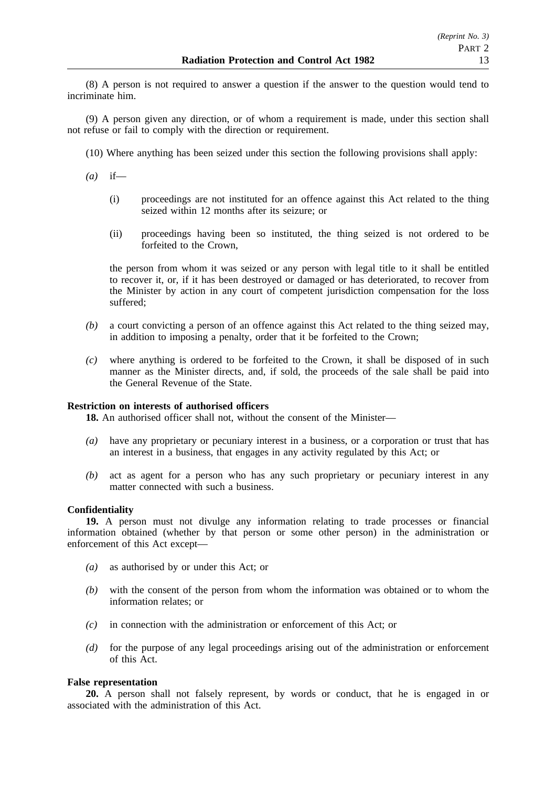(8) A person is not required to answer a question if the answer to the question would tend to incriminate him.

(9) A person given any direction, or of whom a requirement is made, under this section shall not refuse or fail to comply with the direction or requirement.

- (10) Where anything has been seized under this section the following provisions shall apply:
- *(a)* if—
	- (i) proceedings are not instituted for an offence against this Act related to the thing seized within 12 months after its seizure; or
	- (ii) proceedings having been so instituted, the thing seized is not ordered to be forfeited to the Crown,

the person from whom it was seized or any person with legal title to it shall be entitled to recover it, or, if it has been destroyed or damaged or has deteriorated, to recover from the Minister by action in any court of competent jurisdiction compensation for the loss suffered;

- *(b)* a court convicting a person of an offence against this Act related to the thing seized may, in addition to imposing a penalty, order that it be forfeited to the Crown;
- *(c)* where anything is ordered to be forfeited to the Crown, it shall be disposed of in such manner as the Minister directs, and, if sold, the proceeds of the sale shall be paid into the General Revenue of the State.

#### **Restriction on interests of authorised officers**

**18.** An authorised officer shall not, without the consent of the Minister—

- *(a)* have any proprietary or pecuniary interest in a business, or a corporation or trust that has an interest in a business, that engages in any activity regulated by this Act; or
- *(b)* act as agent for a person who has any such proprietary or pecuniary interest in any matter connected with such a business.

#### **Confidentiality**

**19.** A person must not divulge any information relating to trade processes or financial information obtained (whether by that person or some other person) in the administration or enforcement of this Act except—

- *(a)* as authorised by or under this Act; or
- *(b)* with the consent of the person from whom the information was obtained or to whom the information relates; or
- *(c)* in connection with the administration or enforcement of this Act; or
- *(d)* for the purpose of any legal proceedings arising out of the administration or enforcement of this Act.

#### **False representation**

**20.** A person shall not falsely represent, by words or conduct, that he is engaged in or associated with the administration of this Act.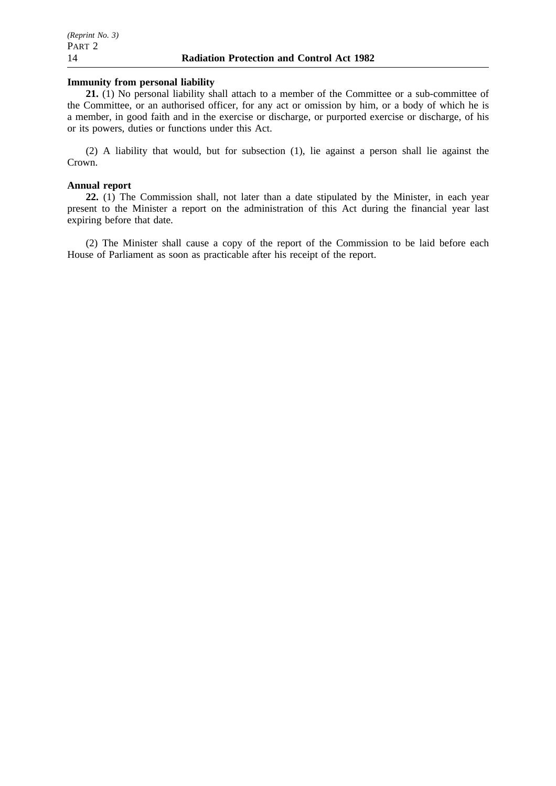#### **Immunity from personal liability**

**21.** (1) No personal liability shall attach to a member of the Committee or a sub-committee of the Committee, or an authorised officer, for any act or omission by him, or a body of which he is a member, in good faith and in the exercise or discharge, or purported exercise or discharge, of his or its powers, duties or functions under this Act.

(2) A liability that would, but for subsection (1), lie against a person shall lie against the Crown.

#### **Annual report**

**22.** (1) The Commission shall, not later than a date stipulated by the Minister, in each year present to the Minister a report on the administration of this Act during the financial year last expiring before that date.

(2) The Minister shall cause a copy of the report of the Commission to be laid before each House of Parliament as soon as practicable after his receipt of the report.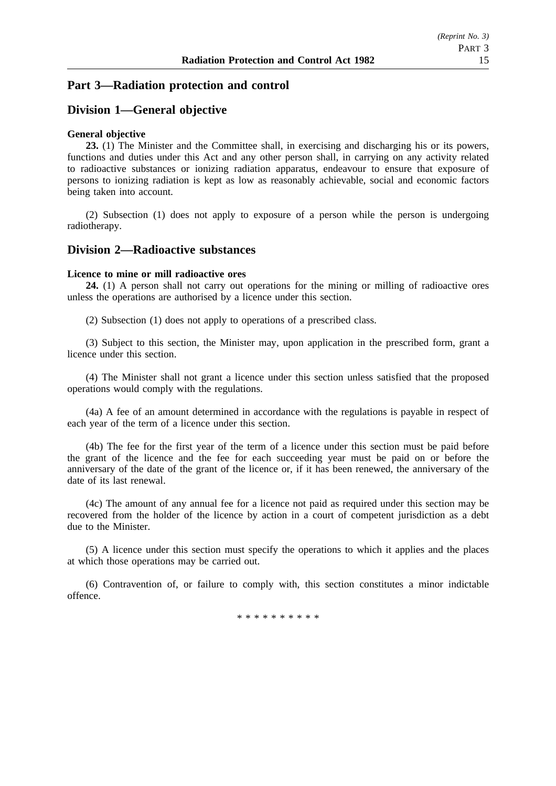# **Part 3—Radiation protection and control**

# **Division 1—General objective**

## **General objective**

**23.** (1) The Minister and the Committee shall, in exercising and discharging his or its powers, functions and duties under this Act and any other person shall, in carrying on any activity related to radioactive substances or ionizing radiation apparatus, endeavour to ensure that exposure of persons to ionizing radiation is kept as low as reasonably achievable, social and economic factors being taken into account.

(2) Subsection (1) does not apply to exposure of a person while the person is undergoing radiotherapy.

## **Division 2—Radioactive substances**

## **Licence to mine or mill radioactive ores**

**24.** (1) A person shall not carry out operations for the mining or milling of radioactive ores unless the operations are authorised by a licence under this section.

(2) Subsection (1) does not apply to operations of a prescribed class.

(3) Subject to this section, the Minister may, upon application in the prescribed form, grant a licence under this section.

(4) The Minister shall not grant a licence under this section unless satisfied that the proposed operations would comply with the regulations.

(4a) A fee of an amount determined in accordance with the regulations is payable in respect of each year of the term of a licence under this section.

(4b) The fee for the first year of the term of a licence under this section must be paid before the grant of the licence and the fee for each succeeding year must be paid on or before the anniversary of the date of the grant of the licence or, if it has been renewed, the anniversary of the date of its last renewal.

(4c) The amount of any annual fee for a licence not paid as required under this section may be recovered from the holder of the licence by action in a court of competent jurisdiction as a debt due to the Minister.

(5) A licence under this section must specify the operations to which it applies and the places at which those operations may be carried out.

(6) Contravention of, or failure to comply with, this section constitutes a minor indictable offence.

\*\*\*\*\*\*\*\*\*\*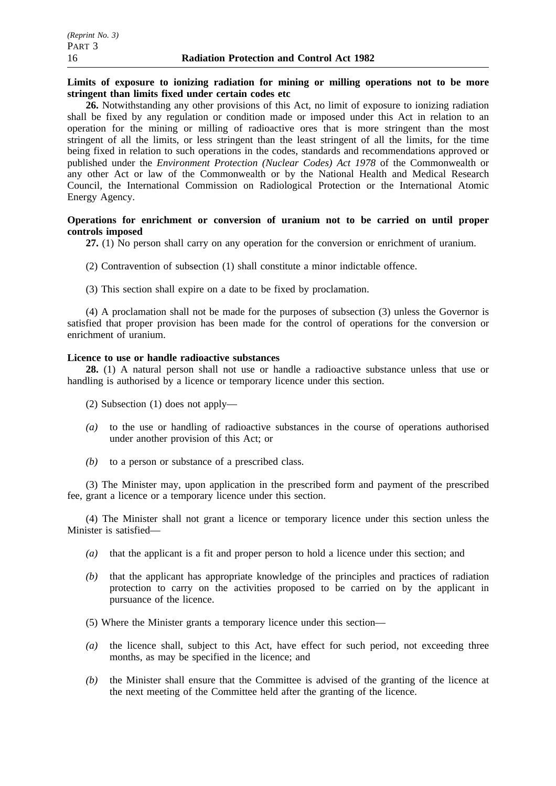## **Limits of exposure to ionizing radiation for mining or milling operations not to be more stringent than limits fixed under certain codes etc**

**26.** Notwithstanding any other provisions of this Act, no limit of exposure to ionizing radiation shall be fixed by any regulation or condition made or imposed under this Act in relation to an operation for the mining or milling of radioactive ores that is more stringent than the most stringent of all the limits, or less stringent than the least stringent of all the limits, for the time being fixed in relation to such operations in the codes, standards and recommendations approved or published under the *Environment Protection (Nuclear Codes) Act 1978* of the Commonwealth or any other Act or law of the Commonwealth or by the National Health and Medical Research Council, the International Commission on Radiological Protection or the International Atomic Energy Agency.

## **Operations for enrichment or conversion of uranium not to be carried on until proper controls imposed**

**27.** (1) No person shall carry on any operation for the conversion or enrichment of uranium.

- (2) Contravention of subsection (1) shall constitute a minor indictable offence.
- (3) This section shall expire on a date to be fixed by proclamation.

(4) A proclamation shall not be made for the purposes of subsection (3) unless the Governor is satisfied that proper provision has been made for the control of operations for the conversion or enrichment of uranium.

# **Licence to use or handle radioactive substances**

**28.** (1) A natural person shall not use or handle a radioactive substance unless that use or handling is authorised by a licence or temporary licence under this section.

- (2) Subsection (1) does not apply—
- *(a)* to the use or handling of radioactive substances in the course of operations authorised under another provision of this Act; or
- *(b)* to a person or substance of a prescribed class.

(3) The Minister may, upon application in the prescribed form and payment of the prescribed fee, grant a licence or a temporary licence under this section.

(4) The Minister shall not grant a licence or temporary licence under this section unless the Minister is satisfied—

- *(a)* that the applicant is a fit and proper person to hold a licence under this section; and
- *(b)* that the applicant has appropriate knowledge of the principles and practices of radiation protection to carry on the activities proposed to be carried on by the applicant in pursuance of the licence.
- (5) Where the Minister grants a temporary licence under this section—
- *(a)* the licence shall, subject to this Act, have effect for such period, not exceeding three months, as may be specified in the licence; and
- *(b)* the Minister shall ensure that the Committee is advised of the granting of the licence at the next meeting of the Committee held after the granting of the licence.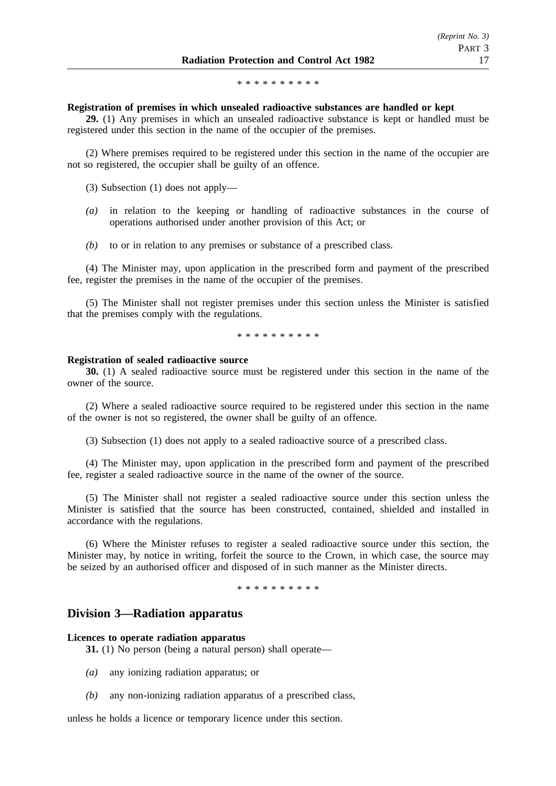\*\*\*\*\*\*\*\*\*\*

#### **Registration of premises in which unsealed radioactive substances are handled or kept**

**29.** (1) Any premises in which an unsealed radioactive substance is kept or handled must be registered under this section in the name of the occupier of the premises.

(2) Where premises required to be registered under this section in the name of the occupier are not so registered, the occupier shall be guilty of an offence.

(3) Subsection (1) does not apply—

- *(a)* in relation to the keeping or handling of radioactive substances in the course of operations authorised under another provision of this Act; or
- *(b)* to or in relation to any premises or substance of a prescribed class.

(4) The Minister may, upon application in the prescribed form and payment of the prescribed fee, register the premises in the name of the occupier of the premises.

(5) The Minister shall not register premises under this section unless the Minister is satisfied that the premises comply with the regulations.

\*\*\*\*\*\*\*\*\*\*

#### **Registration of sealed radioactive source**

**30.** (1) A sealed radioactive source must be registered under this section in the name of the owner of the source.

(2) Where a sealed radioactive source required to be registered under this section in the name of the owner is not so registered, the owner shall be guilty of an offence.

(3) Subsection (1) does not apply to a sealed radioactive source of a prescribed class.

(4) The Minister may, upon application in the prescribed form and payment of the prescribed fee, register a sealed radioactive source in the name of the owner of the source.

(5) The Minister shall not register a sealed radioactive source under this section unless the Minister is satisfied that the source has been constructed, contained, shielded and installed in accordance with the regulations.

(6) Where the Minister refuses to register a sealed radioactive source under this section, the Minister may, by notice in writing, forfeit the source to the Crown, in which case, the source may be seized by an authorised officer and disposed of in such manner as the Minister directs.

\*\*\*\*\*\*\*\*\*\*

## **Division 3—Radiation apparatus**

#### **Licences to operate radiation apparatus**

**31.** (1) No person (being a natural person) shall operate—

- *(a)* any ionizing radiation apparatus; or
- *(b)* any non-ionizing radiation apparatus of a prescribed class,

unless he holds a licence or temporary licence under this section.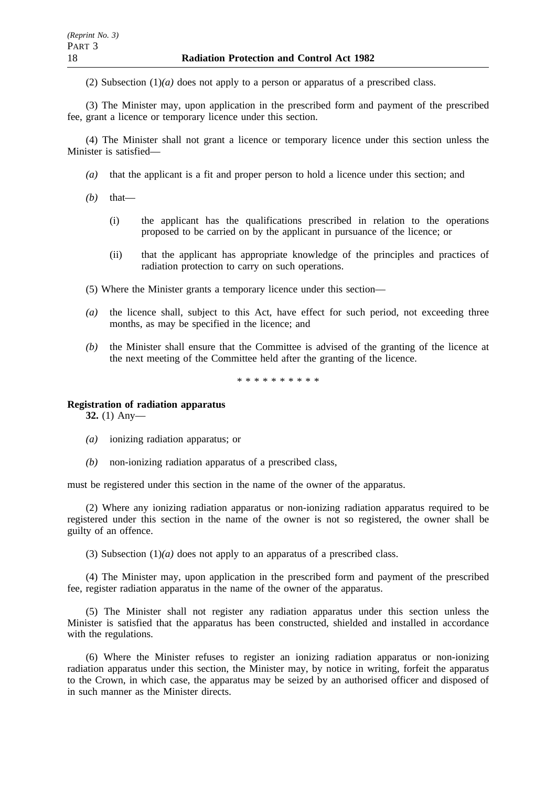(2) Subsection (1)*(a)* does not apply to a person or apparatus of a prescribed class.

(3) The Minister may, upon application in the prescribed form and payment of the prescribed fee, grant a licence or temporary licence under this section.

(4) The Minister shall not grant a licence or temporary licence under this section unless the Minister is satisfied—

- *(a)* that the applicant is a fit and proper person to hold a licence under this section; and
- *(b)* that—
	- (i) the applicant has the qualifications prescribed in relation to the operations proposed to be carried on by the applicant in pursuance of the licence; or
	- (ii) that the applicant has appropriate knowledge of the principles and practices of radiation protection to carry on such operations.
- (5) Where the Minister grants a temporary licence under this section—
- *(a)* the licence shall, subject to this Act, have effect for such period, not exceeding three months, as may be specified in the licence; and
- *(b)* the Minister shall ensure that the Committee is advised of the granting of the licence at the next meeting of the Committee held after the granting of the licence.

\*\*\*\*\*\*\*\*\*\*

## **Registration of radiation apparatus**

**32.** (1) Any—

- *(a)* ionizing radiation apparatus; or
- *(b)* non-ionizing radiation apparatus of a prescribed class,

must be registered under this section in the name of the owner of the apparatus.

(2) Where any ionizing radiation apparatus or non-ionizing radiation apparatus required to be registered under this section in the name of the owner is not so registered, the owner shall be guilty of an offence.

(3) Subsection (1)*(a)* does not apply to an apparatus of a prescribed class.

(4) The Minister may, upon application in the prescribed form and payment of the prescribed fee, register radiation apparatus in the name of the owner of the apparatus.

(5) The Minister shall not register any radiation apparatus under this section unless the Minister is satisfied that the apparatus has been constructed, shielded and installed in accordance with the regulations.

(6) Where the Minister refuses to register an ionizing radiation apparatus or non-ionizing radiation apparatus under this section, the Minister may, by notice in writing, forfeit the apparatus to the Crown, in which case, the apparatus may be seized by an authorised officer and disposed of in such manner as the Minister directs.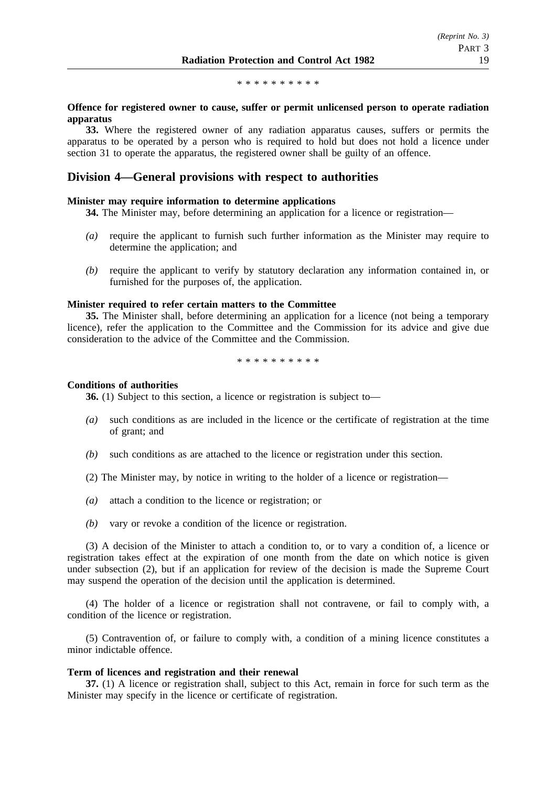\*\*\*\*\*\*\*\*\*\*

## **Offence for registered owner to cause, suffer or permit unlicensed person to operate radiation apparatus**

**33.** Where the registered owner of any radiation apparatus causes, suffers or permits the apparatus to be operated by a person who is required to hold but does not hold a licence under section 31 to operate the apparatus, the registered owner shall be guilty of an offence.

## **Division 4—General provisions with respect to authorities**

#### **Minister may require information to determine applications**

**34.** The Minister may, before determining an application for a licence or registration—

- *(a)* require the applicant to furnish such further information as the Minister may require to determine the application; and
- *(b)* require the applicant to verify by statutory declaration any information contained in, or furnished for the purposes of, the application.

## **Minister required to refer certain matters to the Committee**

**35.** The Minister shall, before determining an application for a licence (not being a temporary licence), refer the application to the Committee and the Commission for its advice and give due consideration to the advice of the Committee and the Commission.

\*\*\*\*\*\*\*\*\*\*

#### **Conditions of authorities**

**36.** (1) Subject to this section, a licence or registration is subject to—

- *(a)* such conditions as are included in the licence or the certificate of registration at the time of grant; and
- *(b)* such conditions as are attached to the licence or registration under this section.
- (2) The Minister may, by notice in writing to the holder of a licence or registration—
- *(a)* attach a condition to the licence or registration; or
- *(b)* vary or revoke a condition of the licence or registration.

(3) A decision of the Minister to attach a condition to, or to vary a condition of, a licence or registration takes effect at the expiration of one month from the date on which notice is given under subsection (2), but if an application for review of the decision is made the Supreme Court may suspend the operation of the decision until the application is determined.

(4) The holder of a licence or registration shall not contravene, or fail to comply with, a condition of the licence or registration.

(5) Contravention of, or failure to comply with, a condition of a mining licence constitutes a minor indictable offence.

#### **Term of licences and registration and their renewal**

**37.** (1) A licence or registration shall, subject to this Act, remain in force for such term as the Minister may specify in the licence or certificate of registration.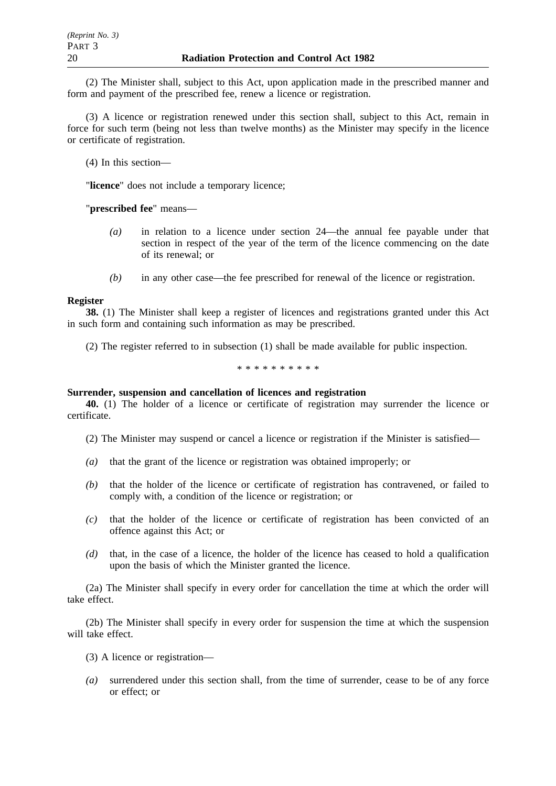(2) The Minister shall, subject to this Act, upon application made in the prescribed manner and form and payment of the prescribed fee, renew a licence or registration.

(3) A licence or registration renewed under this section shall, subject to this Act, remain in force for such term (being not less than twelve months) as the Minister may specify in the licence or certificate of registration.

(4) In this section—

"**licence**" does not include a temporary licence;

"**prescribed fee**" means—

- *(a)* in relation to a licence under section 24—the annual fee payable under that section in respect of the year of the term of the licence commencing on the date of its renewal; or
- *(b)* in any other case—the fee prescribed for renewal of the licence or registration.

#### **Register**

**38.** (1) The Minister shall keep a register of licences and registrations granted under this Act in such form and containing such information as may be prescribed.

(2) The register referred to in subsection (1) shall be made available for public inspection.

\*\*\*\*\*\*\*\*\*\*

## **Surrender, suspension and cancellation of licences and registration**

**40.** (1) The holder of a licence or certificate of registration may surrender the licence or certificate.

- (2) The Minister may suspend or cancel a licence or registration if the Minister is satisfied—
- *(a)* that the grant of the licence or registration was obtained improperly; or
- *(b)* that the holder of the licence or certificate of registration has contravened, or failed to comply with, a condition of the licence or registration; or
- *(c)* that the holder of the licence or certificate of registration has been convicted of an offence against this Act; or
- *(d)* that, in the case of a licence, the holder of the licence has ceased to hold a qualification upon the basis of which the Minister granted the licence.

(2a) The Minister shall specify in every order for cancellation the time at which the order will take effect.

(2b) The Minister shall specify in every order for suspension the time at which the suspension will take effect.

- (3) A licence or registration—
- *(a)* surrendered under this section shall, from the time of surrender, cease to be of any force or effect; or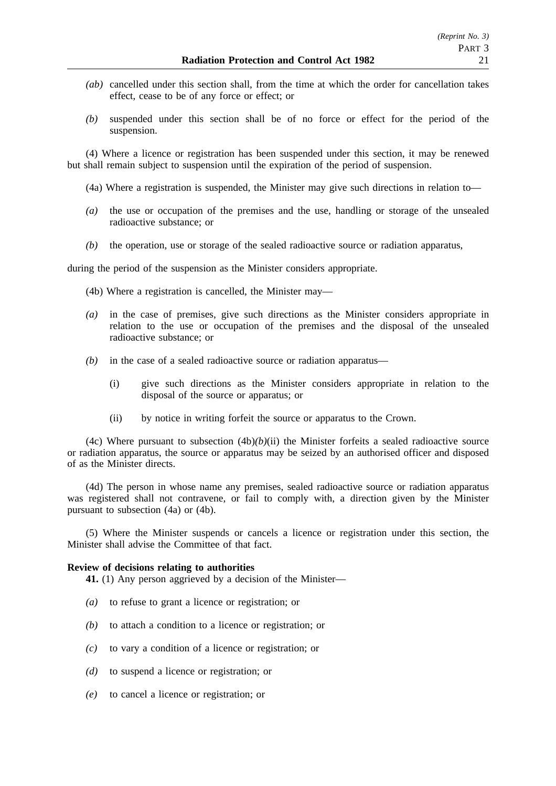- *(ab)* cancelled under this section shall, from the time at which the order for cancellation takes effect, cease to be of any force or effect; or
- *(b)* suspended under this section shall be of no force or effect for the period of the suspension.

(4) Where a licence or registration has been suspended under this section, it may be renewed but shall remain subject to suspension until the expiration of the period of suspension.

- (4a) Where a registration is suspended, the Minister may give such directions in relation to—
- *(a)* the use or occupation of the premises and the use, handling or storage of the unsealed radioactive substance; or
- *(b)* the operation, use or storage of the sealed radioactive source or radiation apparatus,

during the period of the suspension as the Minister considers appropriate.

- (4b) Where a registration is cancelled, the Minister may—
- *(a)* in the case of premises, give such directions as the Minister considers appropriate in relation to the use or occupation of the premises and the disposal of the unsealed radioactive substance; or
- *(b)* in the case of a sealed radioactive source or radiation apparatus—
	- (i) give such directions as the Minister considers appropriate in relation to the disposal of the source or apparatus; or
	- (ii) by notice in writing forfeit the source or apparatus to the Crown.

(4c) Where pursuant to subsection  $(4b)(b)(ii)$  the Minister forfeits a sealed radioactive source or radiation apparatus, the source or apparatus may be seized by an authorised officer and disposed of as the Minister directs.

(4d) The person in whose name any premises, sealed radioactive source or radiation apparatus was registered shall not contravene, or fail to comply with, a direction given by the Minister pursuant to subsection (4a) or (4b).

(5) Where the Minister suspends or cancels a licence or registration under this section, the Minister shall advise the Committee of that fact.

#### **Review of decisions relating to authorities**

**41.** (1) Any person aggrieved by a decision of the Minister—

- *(a)* to refuse to grant a licence or registration; or
- *(b)* to attach a condition to a licence or registration; or
- *(c)* to vary a condition of a licence or registration; or
- *(d)* to suspend a licence or registration; or
- *(e)* to cancel a licence or registration; or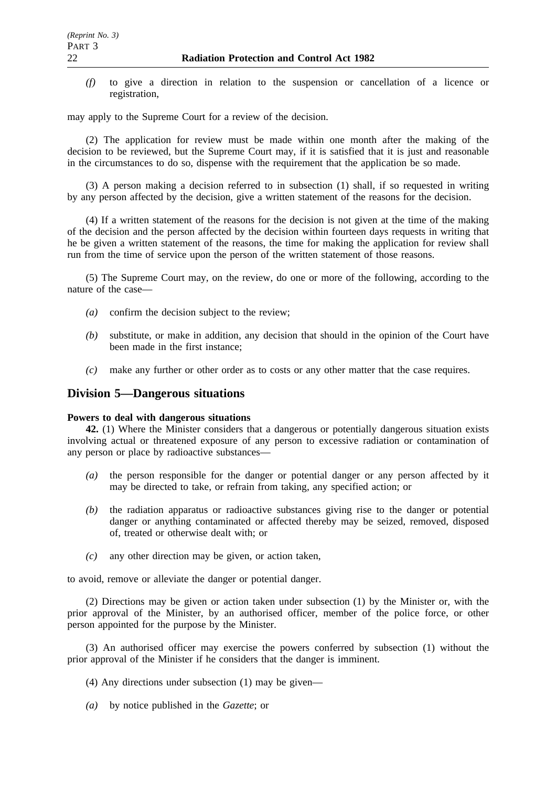*(f)* to give a direction in relation to the suspension or cancellation of a licence or registration,

may apply to the Supreme Court for a review of the decision.

(2) The application for review must be made within one month after the making of the decision to be reviewed, but the Supreme Court may, if it is satisfied that it is just and reasonable in the circumstances to do so, dispense with the requirement that the application be so made.

(3) A person making a decision referred to in subsection (1) shall, if so requested in writing by any person affected by the decision, give a written statement of the reasons for the decision.

(4) If a written statement of the reasons for the decision is not given at the time of the making of the decision and the person affected by the decision within fourteen days requests in writing that he be given a written statement of the reasons, the time for making the application for review shall run from the time of service upon the person of the written statement of those reasons.

(5) The Supreme Court may, on the review, do one or more of the following, according to the nature of the case—

- *(a)* confirm the decision subject to the review;
- *(b)* substitute, or make in addition, any decision that should in the opinion of the Court have been made in the first instance;
- *(c)* make any further or other order as to costs or any other matter that the case requires.

## **Division 5—Dangerous situations**

#### **Powers to deal with dangerous situations**

**42.** (1) Where the Minister considers that a dangerous or potentially dangerous situation exists involving actual or threatened exposure of any person to excessive radiation or contamination of any person or place by radioactive substances—

- *(a)* the person responsible for the danger or potential danger or any person affected by it may be directed to take, or refrain from taking, any specified action; or
- *(b)* the radiation apparatus or radioactive substances giving rise to the danger or potential danger or anything contaminated or affected thereby may be seized, removed, disposed of, treated or otherwise dealt with; or
- *(c)* any other direction may be given, or action taken,

to avoid, remove or alleviate the danger or potential danger.

(2) Directions may be given or action taken under subsection (1) by the Minister or, with the prior approval of the Minister, by an authorised officer, member of the police force, or other person appointed for the purpose by the Minister.

(3) An authorised officer may exercise the powers conferred by subsection (1) without the prior approval of the Minister if he considers that the danger is imminent.

- (4) Any directions under subsection (1) may be given—
- *(a)* by notice published in the *Gazette*; or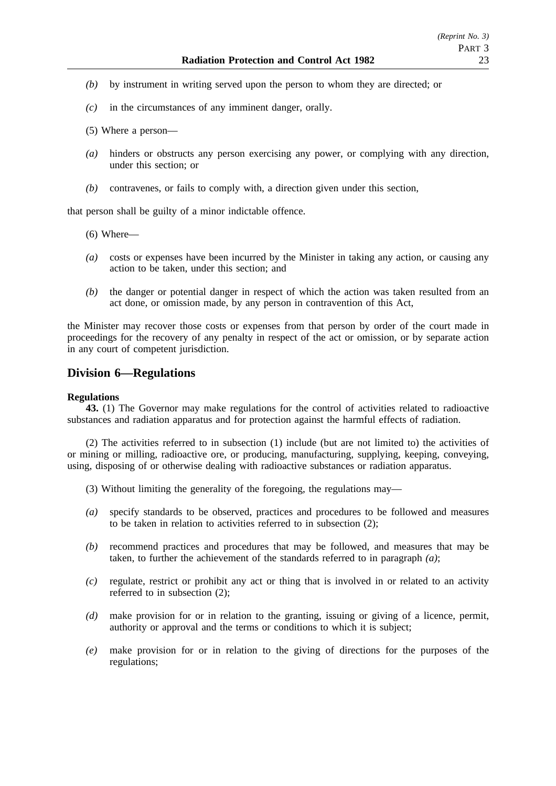- *(b)* by instrument in writing served upon the person to whom they are directed; or
- *(c)* in the circumstances of any imminent danger, orally.
- (5) Where a person—
- *(a)* hinders or obstructs any person exercising any power, or complying with any direction, under this section; or
- *(b)* contravenes, or fails to comply with, a direction given under this section,

that person shall be guilty of a minor indictable offence.

- (6) Where—
- *(a)* costs or expenses have been incurred by the Minister in taking any action, or causing any action to be taken, under this section; and
- *(b)* the danger or potential danger in respect of which the action was taken resulted from an act done, or omission made, by any person in contravention of this Act,

the Minister may recover those costs or expenses from that person by order of the court made in proceedings for the recovery of any penalty in respect of the act or omission, or by separate action in any court of competent jurisdiction.

# **Division 6—Regulations**

#### **Regulations**

**43.** (1) The Governor may make regulations for the control of activities related to radioactive substances and radiation apparatus and for protection against the harmful effects of radiation.

(2) The activities referred to in subsection (1) include (but are not limited to) the activities of or mining or milling, radioactive ore, or producing, manufacturing, supplying, keeping, conveying, using, disposing of or otherwise dealing with radioactive substances or radiation apparatus.

- (3) Without limiting the generality of the foregoing, the regulations may—
- *(a)* specify standards to be observed, practices and procedures to be followed and measures to be taken in relation to activities referred to in subsection (2);
- *(b)* recommend practices and procedures that may be followed, and measures that may be taken, to further the achievement of the standards referred to in paragraph *(a)*;
- *(c)* regulate, restrict or prohibit any act or thing that is involved in or related to an activity referred to in subsection (2);
- *(d)* make provision for or in relation to the granting, issuing or giving of a licence, permit, authority or approval and the terms or conditions to which it is subject;
- *(e)* make provision for or in relation to the giving of directions for the purposes of the regulations;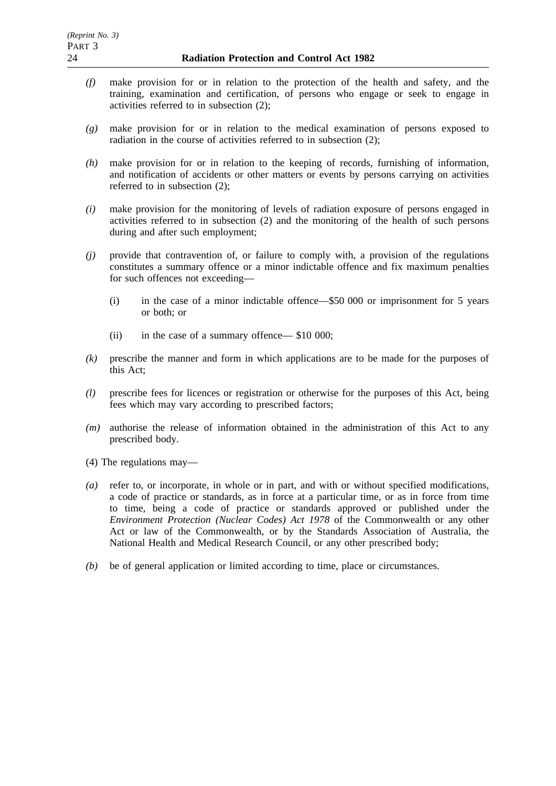- *(f)* make provision for or in relation to the protection of the health and safety, and the training, examination and certification, of persons who engage or seek to engage in activities referred to in subsection (2);
- *(g)* make provision for or in relation to the medical examination of persons exposed to radiation in the course of activities referred to in subsection (2);
- *(h)* make provision for or in relation to the keeping of records, furnishing of information, and notification of accidents or other matters or events by persons carrying on activities referred to in subsection (2);
- *(i)* make provision for the monitoring of levels of radiation exposure of persons engaged in activities referred to in subsection (2) and the monitoring of the health of such persons during and after such employment;
- *(j)* provide that contravention of, or failure to comply with, a provision of the regulations constitutes a summary offence or a minor indictable offence and fix maximum penalties for such offences not exceeding—
	- (i) in the case of a minor indictable offence—\$50 000 or imprisonment for 5 years or both; or
	- (ii) in the case of a summary offence— \$10 000;
- *(k)* prescribe the manner and form in which applications are to be made for the purposes of this Act;
- *(l)* prescribe fees for licences or registration or otherwise for the purposes of this Act, being fees which may vary according to prescribed factors;
- *(m)* authorise the release of information obtained in the administration of this Act to any prescribed body.
- (4) The regulations may—
- *(a)* refer to, or incorporate, in whole or in part, and with or without specified modifications, a code of practice or standards, as in force at a particular time, or as in force from time to time, being a code of practice or standards approved or published under the *Environment Protection (Nuclear Codes) Act 1978* of the Commonwealth or any other Act or law of the Commonwealth, or by the Standards Association of Australia, the National Health and Medical Research Council, or any other prescribed body;
- *(b)* be of general application or limited according to time, place or circumstances.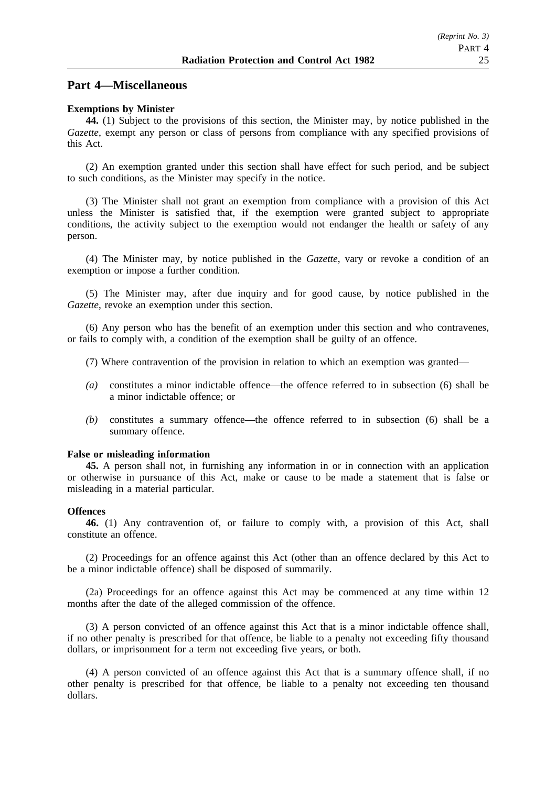## **Part 4—Miscellaneous**

#### **Exemptions by Minister**

**44.** (1) Subject to the provisions of this section, the Minister may, by notice published in the *Gazette*, exempt any person or class of persons from compliance with any specified provisions of this Act.

(2) An exemption granted under this section shall have effect for such period, and be subject to such conditions, as the Minister may specify in the notice.

(3) The Minister shall not grant an exemption from compliance with a provision of this Act unless the Minister is satisfied that, if the exemption were granted subject to appropriate conditions, the activity subject to the exemption would not endanger the health or safety of any person.

(4) The Minister may, by notice published in the *Gazette*, vary or revoke a condition of an exemption or impose a further condition.

(5) The Minister may, after due inquiry and for good cause, by notice published in the *Gazette*, revoke an exemption under this section.

(6) Any person who has the benefit of an exemption under this section and who contravenes, or fails to comply with, a condition of the exemption shall be guilty of an offence.

- (7) Where contravention of the provision in relation to which an exemption was granted—
- *(a)* constitutes a minor indictable offence—the offence referred to in subsection (6) shall be a minor indictable offence; or
- *(b)* constitutes a summary offence—the offence referred to in subsection (6) shall be a summary offence.

#### **False or misleading information**

**45.** A person shall not, in furnishing any information in or in connection with an application or otherwise in pursuance of this Act, make or cause to be made a statement that is false or misleading in a material particular.

#### **Offences**

**46.** (1) Any contravention of, or failure to comply with, a provision of this Act, shall constitute an offence.

(2) Proceedings for an offence against this Act (other than an offence declared by this Act to be a minor indictable offence) shall be disposed of summarily.

(2a) Proceedings for an offence against this Act may be commenced at any time within 12 months after the date of the alleged commission of the offence.

(3) A person convicted of an offence against this Act that is a minor indictable offence shall, if no other penalty is prescribed for that offence, be liable to a penalty not exceeding fifty thousand dollars, or imprisonment for a term not exceeding five years, or both.

(4) A person convicted of an offence against this Act that is a summary offence shall, if no other penalty is prescribed for that offence, be liable to a penalty not exceeding ten thousand dollars.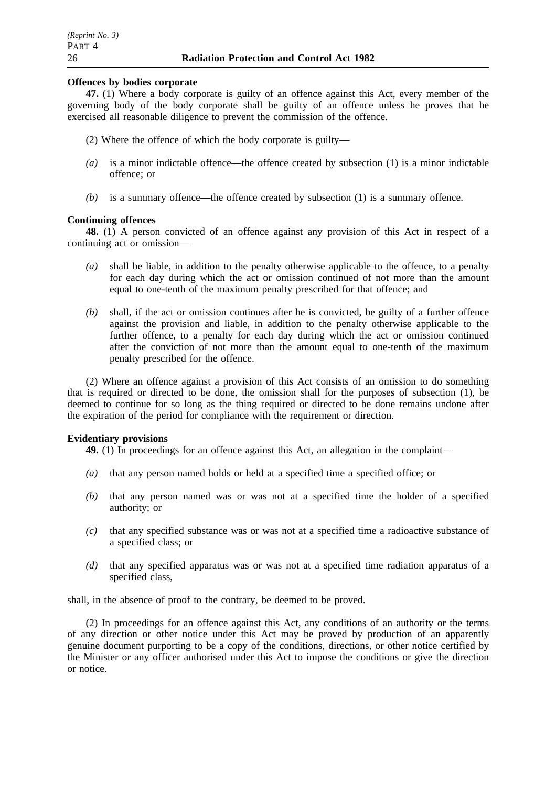#### **Offences by bodies corporate**

**47.** (1) Where a body corporate is guilty of an offence against this Act, every member of the governing body of the body corporate shall be guilty of an offence unless he proves that he exercised all reasonable diligence to prevent the commission of the offence.

- (2) Where the offence of which the body corporate is guilty—
- *(a)* is a minor indictable offence—the offence created by subsection (1) is a minor indictable offence; or
- *(b)* is a summary offence—the offence created by subsection (1) is a summary offence.

#### **Continuing offences**

**48.** (1) A person convicted of an offence against any provision of this Act in respect of a continuing act or omission—

- *(a)* shall be liable, in addition to the penalty otherwise applicable to the offence, to a penalty for each day during which the act or omission continued of not more than the amount equal to one-tenth of the maximum penalty prescribed for that offence; and
- *(b)* shall, if the act or omission continues after he is convicted, be guilty of a further offence against the provision and liable, in addition to the penalty otherwise applicable to the further offence, to a penalty for each day during which the act or omission continued after the conviction of not more than the amount equal to one-tenth of the maximum penalty prescribed for the offence.

(2) Where an offence against a provision of this Act consists of an omission to do something that is required or directed to be done, the omission shall for the purposes of subsection (1), be deemed to continue for so long as the thing required or directed to be done remains undone after the expiration of the period for compliance with the requirement or direction.

#### **Evidentiary provisions**

**49.** (1) In proceedings for an offence against this Act, an allegation in the complaint—

- *(a)* that any person named holds or held at a specified time a specified office; or
- *(b)* that any person named was or was not at a specified time the holder of a specified authority; or
- *(c)* that any specified substance was or was not at a specified time a radioactive substance of a specified class; or
- *(d)* that any specified apparatus was or was not at a specified time radiation apparatus of a specified class,

shall, in the absence of proof to the contrary, be deemed to be proved.

(2) In proceedings for an offence against this Act, any conditions of an authority or the terms of any direction or other notice under this Act may be proved by production of an apparently genuine document purporting to be a copy of the conditions, directions, or other notice certified by the Minister or any officer authorised under this Act to impose the conditions or give the direction or notice.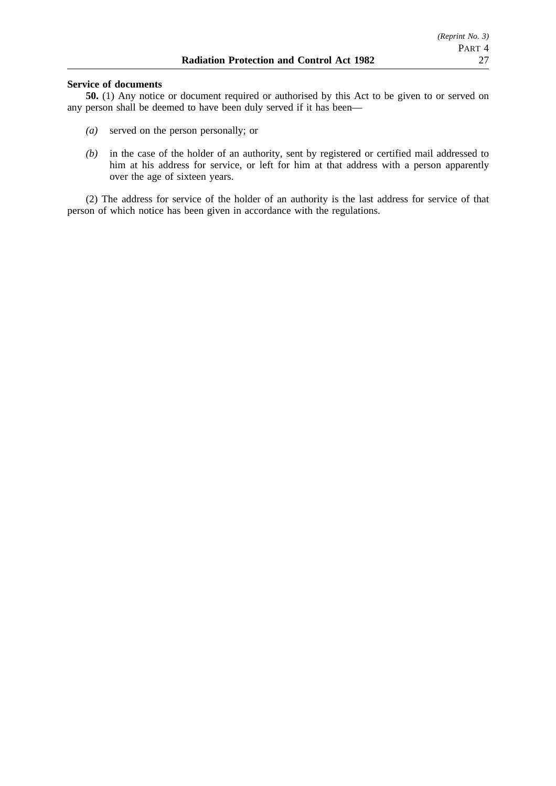#### **Service of documents**

**50.** (1) Any notice or document required or authorised by this Act to be given to or served on any person shall be deemed to have been duly served if it has been—

- *(a)* served on the person personally; or
- *(b)* in the case of the holder of an authority, sent by registered or certified mail addressed to him at his address for service, or left for him at that address with a person apparently over the age of sixteen years.

(2) The address for service of the holder of an authority is the last address for service of that person of which notice has been given in accordance with the regulations.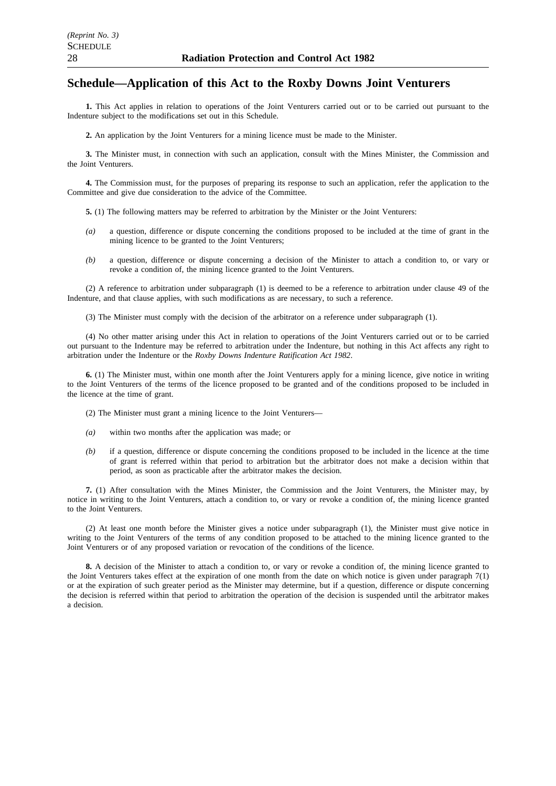# **Schedule—Application of this Act to the Roxby Downs Joint Venturers**

**1.** This Act applies in relation to operations of the Joint Venturers carried out or to be carried out pursuant to the Indenture subject to the modifications set out in this Schedule.

**2.** An application by the Joint Venturers for a mining licence must be made to the Minister.

**3.** The Minister must, in connection with such an application, consult with the Mines Minister, the Commission and the Joint Venturers.

**4.** The Commission must, for the purposes of preparing its response to such an application, refer the application to the Committee and give due consideration to the advice of the Committee.

- **5.** (1) The following matters may be referred to arbitration by the Minister or the Joint Venturers:
- *(a)* a question, difference or dispute concerning the conditions proposed to be included at the time of grant in the mining licence to be granted to the Joint Venturers;
- *(b)* a question, difference or dispute concerning a decision of the Minister to attach a condition to, or vary or revoke a condition of, the mining licence granted to the Joint Venturers.

(2) A reference to arbitration under subparagraph (1) is deemed to be a reference to arbitration under clause 49 of the Indenture, and that clause applies, with such modifications as are necessary, to such a reference.

(3) The Minister must comply with the decision of the arbitrator on a reference under subparagraph (1).

(4) No other matter arising under this Act in relation to operations of the Joint Venturers carried out or to be carried out pursuant to the Indenture may be referred to arbitration under the Indenture, but nothing in this Act affects any right to arbitration under the Indenture or the *Roxby Downs Indenture Ratification Act 1982*.

**6.** (1) The Minister must, within one month after the Joint Venturers apply for a mining licence, give notice in writing to the Joint Venturers of the terms of the licence proposed to be granted and of the conditions proposed to be included in the licence at the time of grant.

- (2) The Minister must grant a mining licence to the Joint Venturers—
- *(a)* within two months after the application was made; or
- *(b)* if a question, difference or dispute concerning the conditions proposed to be included in the licence at the time of grant is referred within that period to arbitration but the arbitrator does not make a decision within that period, as soon as practicable after the arbitrator makes the decision.

**7.** (1) After consultation with the Mines Minister, the Commission and the Joint Venturers, the Minister may, by notice in writing to the Joint Venturers, attach a condition to, or vary or revoke a condition of, the mining licence granted to the Joint Venturers.

(2) At least one month before the Minister gives a notice under subparagraph (1), the Minister must give notice in writing to the Joint Venturers of the terms of any condition proposed to be attached to the mining licence granted to the Joint Venturers or of any proposed variation or revocation of the conditions of the licence.

**8.** A decision of the Minister to attach a condition to, or vary or revoke a condition of, the mining licence granted to the Joint Venturers takes effect at the expiration of one month from the date on which notice is given under paragraph 7(1) or at the expiration of such greater period as the Minister may determine, but if a question, difference or dispute concerning the decision is referred within that period to arbitration the operation of the decision is suspended until the arbitrator makes a decision.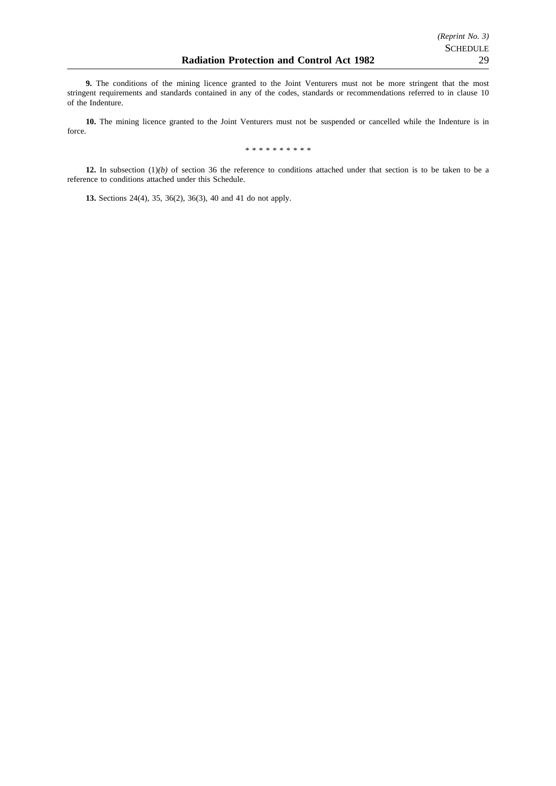**9.** The conditions of the mining licence granted to the Joint Venturers must not be more stringent that the most stringent requirements and standards contained in any of the codes, standards or recommendations referred to in clause 10 of the Indenture.

**10.** The mining licence granted to the Joint Venturers must not be suspended or cancelled while the Indenture is in force.

\*\*\*\*\*\*\*\*\*\*

**12.** In subsection (1)*(b)* of section 36 the reference to conditions attached under that section is to be taken to be a reference to conditions attached under this Schedule.

**13.** Sections 24(4), 35, 36(2), 36(3), 40 and 41 do not apply.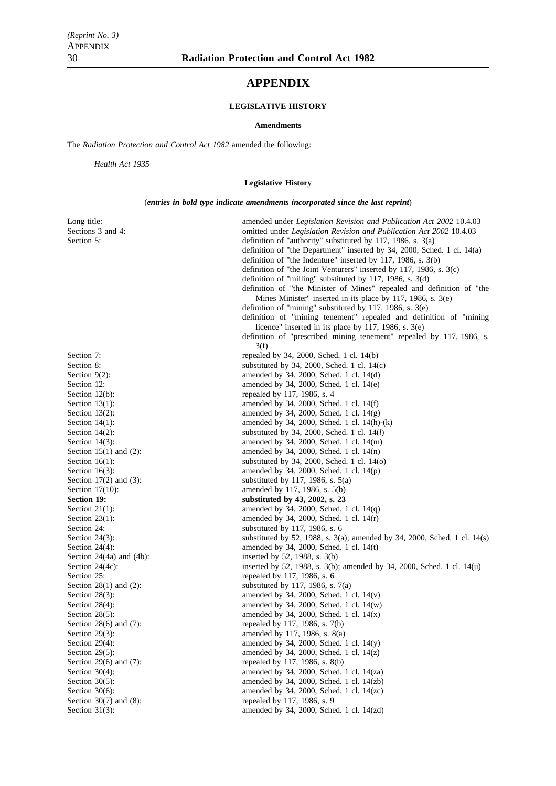# **APPENDIX**

## **LEGISLATIVE HISTORY**

#### **Amendments**

The *Radiation Protection and Control Act 1982* amended the following:

*Health Act 1935*

#### **Legislative History**

(*entries in bold type indicate amendments incorporated since the last reprint*)

| Section 7:<br>repealed by 34, 2000, Sched. 1 cl. 14(b)<br>Section 8:<br>substituted by 34, 2000, Sched. 1 cl. $14(c)$<br>Section $9(2)$ :<br>amended by 34, 2000, Sched. 1 cl. 14(d)<br>amended by 34, 2000, Sched. 1 cl. 14(e)<br>Section 12:<br>repealed by 117, 1986, s. 4<br>Section $12(b)$ :<br>amended by 34, 2000, Sched. 1 cl. 14(f)<br>Section $13(1)$ :<br>amended by 34, 2000, Sched. 1 cl. 14(g)<br>Section $13(2)$ :<br>Section $14(1)$ :<br>amended by 34, 2000, Sched. 1 cl. 14(h)-(k)<br>Section $14(2)$ :<br>substituted by 34, 2000, Sched. 1 cl. $14(l)$<br>amended by 34, 2000, Sched. 1 cl. 14(m)<br>Section $14(3)$ :<br>Section $15(1)$ and $(2)$ :<br>amended by $34$ , $2000$ , Sched. 1 cl. $14(n)$<br>Section $16(1)$ :<br>substituted by $34$ , $2000$ , Sched. 1 cl. $14(0)$<br>Section $16(3)$ :<br>amended by 34, 2000, Sched. 1 cl. $14(p)$<br>Section $17(2)$ and $(3)$ :<br>substituted by 117, 1986, s. $5(a)$<br>Section $17(10)$ :<br>amended by 117, 1986, s. 5(b)<br>Section 19:<br>substituted by 43, 2002, s. 23<br>Section $21(1)$ :<br>amended by 34, 2000, Sched. 1 cl. $14(q)$<br>Section $23(1)$ :<br>amended by 34, 2000, Sched. 1 cl. $14(r)$<br>Section 24:<br>substituted by 117, 1986, s. $6$<br>Section $24(3)$ :<br>substituted by 52, 1988, s. $3(a)$ ; amended by 34, 2000, Sched. 1 cl. 14(s)<br>Section $24(4)$ :<br>amended by 34, 2000, Sched. 1 cl. $14(t)$<br>Section $24(4a)$ and $(4b)$ :<br>inserted by 52, 1988, s. $3(b)$<br>inserted by 52, 1988, s. 3(b); amended by 34, 2000, Sched. 1 cl. 14(u)<br>Section $24(4c)$ :<br>repealed by 117, 1986, s. 6<br>Section 25:<br>Section $28(1)$ and $(2)$ :<br>substituted by 117, 1986, s. $7(a)$<br>amended by 34, 2000, Sched. 1 cl. $14(v)$<br>Section $28(3)$ :<br>Section $28(4)$ :<br>amended by 34, 2000, Sched. 1 cl. 14(w)<br>Section $28(5)$ :<br>amended by 34, 2000, Sched. 1 cl. $14(x)$<br>repealed by 117, 1986, s. 7(b)<br>Section $28(6)$ and $(7)$ :<br>amended by 117, 1986, s. 8(a)<br>Section $29(3)$ :<br>Section $29(4)$ :<br>amended by 34, 2000, Sched. 1 cl. 14(y) | Long title:<br>Sections 3 and 4:<br>Section 5: | amended under Legislation Revision and Publication Act 2002 10.4.03<br>omitted under <i>Legislation Revision and Publication Act 2002</i> 10.4.03<br>definition of "authority" substituted by 117, 1986, s. $3(a)$<br>definition of "the Department" inserted by 34, 2000, Sched. 1 cl. 14(a)<br>definition of "the Indenture" inserted by 117, 1986, s. 3(b)<br>definition of "the Joint Venturers" inserted by 117, 1986, s. $3(c)$<br>definition of "milling" substituted by 117, 1986, s. $3(d)$<br>definition of "the Minister of Mines" repealed and definition of "the<br>Mines Minister" inserted in its place by 117, 1986, s. $3(e)$<br>definition of "mining" substituted by 117, 1986, s. $3(e)$<br>definition of "mining tenement" repealed and definition of "mining<br>licence" inserted in its place by 117, 1986, s. $3(e)$<br>definition of "prescribed mining tenement" repealed by 117, 1986, s.<br>3(f) |
|-------------------------------------------------------------------------------------------------------------------------------------------------------------------------------------------------------------------------------------------------------------------------------------------------------------------------------------------------------------------------------------------------------------------------------------------------------------------------------------------------------------------------------------------------------------------------------------------------------------------------------------------------------------------------------------------------------------------------------------------------------------------------------------------------------------------------------------------------------------------------------------------------------------------------------------------------------------------------------------------------------------------------------------------------------------------------------------------------------------------------------------------------------------------------------------------------------------------------------------------------------------------------------------------------------------------------------------------------------------------------------------------------------------------------------------------------------------------------------------------------------------------------------------------------------------------------------------------------------------------------------------------------------------------------------------------------------------------------------------------------------------------------------------------------------------------------------------------------------------------------------------------------------------------------------------------------------------------------------------------------------------------------------------------------------------------------------------------------------------|------------------------------------------------|------------------------------------------------------------------------------------------------------------------------------------------------------------------------------------------------------------------------------------------------------------------------------------------------------------------------------------------------------------------------------------------------------------------------------------------------------------------------------------------------------------------------------------------------------------------------------------------------------------------------------------------------------------------------------------------------------------------------------------------------------------------------------------------------------------------------------------------------------------------------------------------------------------------------------|
|                                                                                                                                                                                                                                                                                                                                                                                                                                                                                                                                                                                                                                                                                                                                                                                                                                                                                                                                                                                                                                                                                                                                                                                                                                                                                                                                                                                                                                                                                                                                                                                                                                                                                                                                                                                                                                                                                                                                                                                                                                                                                                             |                                                |                                                                                                                                                                                                                                                                                                                                                                                                                                                                                                                                                                                                                                                                                                                                                                                                                                                                                                                              |
|                                                                                                                                                                                                                                                                                                                                                                                                                                                                                                                                                                                                                                                                                                                                                                                                                                                                                                                                                                                                                                                                                                                                                                                                                                                                                                                                                                                                                                                                                                                                                                                                                                                                                                                                                                                                                                                                                                                                                                                                                                                                                                             |                                                |                                                                                                                                                                                                                                                                                                                                                                                                                                                                                                                                                                                                                                                                                                                                                                                                                                                                                                                              |
|                                                                                                                                                                                                                                                                                                                                                                                                                                                                                                                                                                                                                                                                                                                                                                                                                                                                                                                                                                                                                                                                                                                                                                                                                                                                                                                                                                                                                                                                                                                                                                                                                                                                                                                                                                                                                                                                                                                                                                                                                                                                                                             |                                                |                                                                                                                                                                                                                                                                                                                                                                                                                                                                                                                                                                                                                                                                                                                                                                                                                                                                                                                              |
|                                                                                                                                                                                                                                                                                                                                                                                                                                                                                                                                                                                                                                                                                                                                                                                                                                                                                                                                                                                                                                                                                                                                                                                                                                                                                                                                                                                                                                                                                                                                                                                                                                                                                                                                                                                                                                                                                                                                                                                                                                                                                                             |                                                |                                                                                                                                                                                                                                                                                                                                                                                                                                                                                                                                                                                                                                                                                                                                                                                                                                                                                                                              |
|                                                                                                                                                                                                                                                                                                                                                                                                                                                                                                                                                                                                                                                                                                                                                                                                                                                                                                                                                                                                                                                                                                                                                                                                                                                                                                                                                                                                                                                                                                                                                                                                                                                                                                                                                                                                                                                                                                                                                                                                                                                                                                             |                                                |                                                                                                                                                                                                                                                                                                                                                                                                                                                                                                                                                                                                                                                                                                                                                                                                                                                                                                                              |
|                                                                                                                                                                                                                                                                                                                                                                                                                                                                                                                                                                                                                                                                                                                                                                                                                                                                                                                                                                                                                                                                                                                                                                                                                                                                                                                                                                                                                                                                                                                                                                                                                                                                                                                                                                                                                                                                                                                                                                                                                                                                                                             |                                                |                                                                                                                                                                                                                                                                                                                                                                                                                                                                                                                                                                                                                                                                                                                                                                                                                                                                                                                              |
|                                                                                                                                                                                                                                                                                                                                                                                                                                                                                                                                                                                                                                                                                                                                                                                                                                                                                                                                                                                                                                                                                                                                                                                                                                                                                                                                                                                                                                                                                                                                                                                                                                                                                                                                                                                                                                                                                                                                                                                                                                                                                                             |                                                |                                                                                                                                                                                                                                                                                                                                                                                                                                                                                                                                                                                                                                                                                                                                                                                                                                                                                                                              |
|                                                                                                                                                                                                                                                                                                                                                                                                                                                                                                                                                                                                                                                                                                                                                                                                                                                                                                                                                                                                                                                                                                                                                                                                                                                                                                                                                                                                                                                                                                                                                                                                                                                                                                                                                                                                                                                                                                                                                                                                                                                                                                             |                                                |                                                                                                                                                                                                                                                                                                                                                                                                                                                                                                                                                                                                                                                                                                                                                                                                                                                                                                                              |
|                                                                                                                                                                                                                                                                                                                                                                                                                                                                                                                                                                                                                                                                                                                                                                                                                                                                                                                                                                                                                                                                                                                                                                                                                                                                                                                                                                                                                                                                                                                                                                                                                                                                                                                                                                                                                                                                                                                                                                                                                                                                                                             |                                                |                                                                                                                                                                                                                                                                                                                                                                                                                                                                                                                                                                                                                                                                                                                                                                                                                                                                                                                              |
|                                                                                                                                                                                                                                                                                                                                                                                                                                                                                                                                                                                                                                                                                                                                                                                                                                                                                                                                                                                                                                                                                                                                                                                                                                                                                                                                                                                                                                                                                                                                                                                                                                                                                                                                                                                                                                                                                                                                                                                                                                                                                                             |                                                |                                                                                                                                                                                                                                                                                                                                                                                                                                                                                                                                                                                                                                                                                                                                                                                                                                                                                                                              |
|                                                                                                                                                                                                                                                                                                                                                                                                                                                                                                                                                                                                                                                                                                                                                                                                                                                                                                                                                                                                                                                                                                                                                                                                                                                                                                                                                                                                                                                                                                                                                                                                                                                                                                                                                                                                                                                                                                                                                                                                                                                                                                             |                                                |                                                                                                                                                                                                                                                                                                                                                                                                                                                                                                                                                                                                                                                                                                                                                                                                                                                                                                                              |
|                                                                                                                                                                                                                                                                                                                                                                                                                                                                                                                                                                                                                                                                                                                                                                                                                                                                                                                                                                                                                                                                                                                                                                                                                                                                                                                                                                                                                                                                                                                                                                                                                                                                                                                                                                                                                                                                                                                                                                                                                                                                                                             |                                                |                                                                                                                                                                                                                                                                                                                                                                                                                                                                                                                                                                                                                                                                                                                                                                                                                                                                                                                              |
|                                                                                                                                                                                                                                                                                                                                                                                                                                                                                                                                                                                                                                                                                                                                                                                                                                                                                                                                                                                                                                                                                                                                                                                                                                                                                                                                                                                                                                                                                                                                                                                                                                                                                                                                                                                                                                                                                                                                                                                                                                                                                                             |                                                |                                                                                                                                                                                                                                                                                                                                                                                                                                                                                                                                                                                                                                                                                                                                                                                                                                                                                                                              |
|                                                                                                                                                                                                                                                                                                                                                                                                                                                                                                                                                                                                                                                                                                                                                                                                                                                                                                                                                                                                                                                                                                                                                                                                                                                                                                                                                                                                                                                                                                                                                                                                                                                                                                                                                                                                                                                                                                                                                                                                                                                                                                             |                                                |                                                                                                                                                                                                                                                                                                                                                                                                                                                                                                                                                                                                                                                                                                                                                                                                                                                                                                                              |
|                                                                                                                                                                                                                                                                                                                                                                                                                                                                                                                                                                                                                                                                                                                                                                                                                                                                                                                                                                                                                                                                                                                                                                                                                                                                                                                                                                                                                                                                                                                                                                                                                                                                                                                                                                                                                                                                                                                                                                                                                                                                                                             |                                                |                                                                                                                                                                                                                                                                                                                                                                                                                                                                                                                                                                                                                                                                                                                                                                                                                                                                                                                              |
|                                                                                                                                                                                                                                                                                                                                                                                                                                                                                                                                                                                                                                                                                                                                                                                                                                                                                                                                                                                                                                                                                                                                                                                                                                                                                                                                                                                                                                                                                                                                                                                                                                                                                                                                                                                                                                                                                                                                                                                                                                                                                                             |                                                |                                                                                                                                                                                                                                                                                                                                                                                                                                                                                                                                                                                                                                                                                                                                                                                                                                                                                                                              |
|                                                                                                                                                                                                                                                                                                                                                                                                                                                                                                                                                                                                                                                                                                                                                                                                                                                                                                                                                                                                                                                                                                                                                                                                                                                                                                                                                                                                                                                                                                                                                                                                                                                                                                                                                                                                                                                                                                                                                                                                                                                                                                             |                                                |                                                                                                                                                                                                                                                                                                                                                                                                                                                                                                                                                                                                                                                                                                                                                                                                                                                                                                                              |
|                                                                                                                                                                                                                                                                                                                                                                                                                                                                                                                                                                                                                                                                                                                                                                                                                                                                                                                                                                                                                                                                                                                                                                                                                                                                                                                                                                                                                                                                                                                                                                                                                                                                                                                                                                                                                                                                                                                                                                                                                                                                                                             |                                                |                                                                                                                                                                                                                                                                                                                                                                                                                                                                                                                                                                                                                                                                                                                                                                                                                                                                                                                              |
|                                                                                                                                                                                                                                                                                                                                                                                                                                                                                                                                                                                                                                                                                                                                                                                                                                                                                                                                                                                                                                                                                                                                                                                                                                                                                                                                                                                                                                                                                                                                                                                                                                                                                                                                                                                                                                                                                                                                                                                                                                                                                                             |                                                |                                                                                                                                                                                                                                                                                                                                                                                                                                                                                                                                                                                                                                                                                                                                                                                                                                                                                                                              |
|                                                                                                                                                                                                                                                                                                                                                                                                                                                                                                                                                                                                                                                                                                                                                                                                                                                                                                                                                                                                                                                                                                                                                                                                                                                                                                                                                                                                                                                                                                                                                                                                                                                                                                                                                                                                                                                                                                                                                                                                                                                                                                             |                                                |                                                                                                                                                                                                                                                                                                                                                                                                                                                                                                                                                                                                                                                                                                                                                                                                                                                                                                                              |
|                                                                                                                                                                                                                                                                                                                                                                                                                                                                                                                                                                                                                                                                                                                                                                                                                                                                                                                                                                                                                                                                                                                                                                                                                                                                                                                                                                                                                                                                                                                                                                                                                                                                                                                                                                                                                                                                                                                                                                                                                                                                                                             |                                                |                                                                                                                                                                                                                                                                                                                                                                                                                                                                                                                                                                                                                                                                                                                                                                                                                                                                                                                              |
|                                                                                                                                                                                                                                                                                                                                                                                                                                                                                                                                                                                                                                                                                                                                                                                                                                                                                                                                                                                                                                                                                                                                                                                                                                                                                                                                                                                                                                                                                                                                                                                                                                                                                                                                                                                                                                                                                                                                                                                                                                                                                                             |                                                |                                                                                                                                                                                                                                                                                                                                                                                                                                                                                                                                                                                                                                                                                                                                                                                                                                                                                                                              |
|                                                                                                                                                                                                                                                                                                                                                                                                                                                                                                                                                                                                                                                                                                                                                                                                                                                                                                                                                                                                                                                                                                                                                                                                                                                                                                                                                                                                                                                                                                                                                                                                                                                                                                                                                                                                                                                                                                                                                                                                                                                                                                             |                                                |                                                                                                                                                                                                                                                                                                                                                                                                                                                                                                                                                                                                                                                                                                                                                                                                                                                                                                                              |
|                                                                                                                                                                                                                                                                                                                                                                                                                                                                                                                                                                                                                                                                                                                                                                                                                                                                                                                                                                                                                                                                                                                                                                                                                                                                                                                                                                                                                                                                                                                                                                                                                                                                                                                                                                                                                                                                                                                                                                                                                                                                                                             |                                                |                                                                                                                                                                                                                                                                                                                                                                                                                                                                                                                                                                                                                                                                                                                                                                                                                                                                                                                              |
|                                                                                                                                                                                                                                                                                                                                                                                                                                                                                                                                                                                                                                                                                                                                                                                                                                                                                                                                                                                                                                                                                                                                                                                                                                                                                                                                                                                                                                                                                                                                                                                                                                                                                                                                                                                                                                                                                                                                                                                                                                                                                                             |                                                |                                                                                                                                                                                                                                                                                                                                                                                                                                                                                                                                                                                                                                                                                                                                                                                                                                                                                                                              |
|                                                                                                                                                                                                                                                                                                                                                                                                                                                                                                                                                                                                                                                                                                                                                                                                                                                                                                                                                                                                                                                                                                                                                                                                                                                                                                                                                                                                                                                                                                                                                                                                                                                                                                                                                                                                                                                                                                                                                                                                                                                                                                             |                                                |                                                                                                                                                                                                                                                                                                                                                                                                                                                                                                                                                                                                                                                                                                                                                                                                                                                                                                                              |
|                                                                                                                                                                                                                                                                                                                                                                                                                                                                                                                                                                                                                                                                                                                                                                                                                                                                                                                                                                                                                                                                                                                                                                                                                                                                                                                                                                                                                                                                                                                                                                                                                                                                                                                                                                                                                                                                                                                                                                                                                                                                                                             |                                                |                                                                                                                                                                                                                                                                                                                                                                                                                                                                                                                                                                                                                                                                                                                                                                                                                                                                                                                              |
|                                                                                                                                                                                                                                                                                                                                                                                                                                                                                                                                                                                                                                                                                                                                                                                                                                                                                                                                                                                                                                                                                                                                                                                                                                                                                                                                                                                                                                                                                                                                                                                                                                                                                                                                                                                                                                                                                                                                                                                                                                                                                                             |                                                |                                                                                                                                                                                                                                                                                                                                                                                                                                                                                                                                                                                                                                                                                                                                                                                                                                                                                                                              |
|                                                                                                                                                                                                                                                                                                                                                                                                                                                                                                                                                                                                                                                                                                                                                                                                                                                                                                                                                                                                                                                                                                                                                                                                                                                                                                                                                                                                                                                                                                                                                                                                                                                                                                                                                                                                                                                                                                                                                                                                                                                                                                             |                                                |                                                                                                                                                                                                                                                                                                                                                                                                                                                                                                                                                                                                                                                                                                                                                                                                                                                                                                                              |
|                                                                                                                                                                                                                                                                                                                                                                                                                                                                                                                                                                                                                                                                                                                                                                                                                                                                                                                                                                                                                                                                                                                                                                                                                                                                                                                                                                                                                                                                                                                                                                                                                                                                                                                                                                                                                                                                                                                                                                                                                                                                                                             |                                                |                                                                                                                                                                                                                                                                                                                                                                                                                                                                                                                                                                                                                                                                                                                                                                                                                                                                                                                              |
| Section $29(5)$ :<br>amended by 34, 2000, Sched. 1 cl. $14(z)$                                                                                                                                                                                                                                                                                                                                                                                                                                                                                                                                                                                                                                                                                                                                                                                                                                                                                                                                                                                                                                                                                                                                                                                                                                                                                                                                                                                                                                                                                                                                                                                                                                                                                                                                                                                                                                                                                                                                                                                                                                              |                                                |                                                                                                                                                                                                                                                                                                                                                                                                                                                                                                                                                                                                                                                                                                                                                                                                                                                                                                                              |
| Section 29 $(6)$ and $(7)$ :<br>repealed by 117, 1986, s. 8(b)                                                                                                                                                                                                                                                                                                                                                                                                                                                                                                                                                                                                                                                                                                                                                                                                                                                                                                                                                                                                                                                                                                                                                                                                                                                                                                                                                                                                                                                                                                                                                                                                                                                                                                                                                                                                                                                                                                                                                                                                                                              |                                                |                                                                                                                                                                                                                                                                                                                                                                                                                                                                                                                                                                                                                                                                                                                                                                                                                                                                                                                              |
| amended by 34, 2000, Sched. 1 cl. 14(za)<br>Section $30(4)$ :                                                                                                                                                                                                                                                                                                                                                                                                                                                                                                                                                                                                                                                                                                                                                                                                                                                                                                                                                                                                                                                                                                                                                                                                                                                                                                                                                                                                                                                                                                                                                                                                                                                                                                                                                                                                                                                                                                                                                                                                                                               |                                                |                                                                                                                                                                                                                                                                                                                                                                                                                                                                                                                                                                                                                                                                                                                                                                                                                                                                                                                              |
| Section $30(5)$ :<br>amended by 34, 2000, Sched. 1 cl. 14(zb)                                                                                                                                                                                                                                                                                                                                                                                                                                                                                                                                                                                                                                                                                                                                                                                                                                                                                                                                                                                                                                                                                                                                                                                                                                                                                                                                                                                                                                                                                                                                                                                                                                                                                                                                                                                                                                                                                                                                                                                                                                               |                                                |                                                                                                                                                                                                                                                                                                                                                                                                                                                                                                                                                                                                                                                                                                                                                                                                                                                                                                                              |
| Section $30(6)$ :<br>amended by 34, 2000, Sched. 1 cl. 14(zc)                                                                                                                                                                                                                                                                                                                                                                                                                                                                                                                                                                                                                                                                                                                                                                                                                                                                                                                                                                                                                                                                                                                                                                                                                                                                                                                                                                                                                                                                                                                                                                                                                                                                                                                                                                                                                                                                                                                                                                                                                                               |                                                |                                                                                                                                                                                                                                                                                                                                                                                                                                                                                                                                                                                                                                                                                                                                                                                                                                                                                                                              |
| Section $30(7)$ and $(8)$ :<br>repealed by 117, 1986, s. 9                                                                                                                                                                                                                                                                                                                                                                                                                                                                                                                                                                                                                                                                                                                                                                                                                                                                                                                                                                                                                                                                                                                                                                                                                                                                                                                                                                                                                                                                                                                                                                                                                                                                                                                                                                                                                                                                                                                                                                                                                                                  |                                                |                                                                                                                                                                                                                                                                                                                                                                                                                                                                                                                                                                                                                                                                                                                                                                                                                                                                                                                              |
| amended by 34, 2000, Sched. 1 cl. 14(zd)<br>Section $31(3)$ :                                                                                                                                                                                                                                                                                                                                                                                                                                                                                                                                                                                                                                                                                                                                                                                                                                                                                                                                                                                                                                                                                                                                                                                                                                                                                                                                                                                                                                                                                                                                                                                                                                                                                                                                                                                                                                                                                                                                                                                                                                               |                                                |                                                                                                                                                                                                                                                                                                                                                                                                                                                                                                                                                                                                                                                                                                                                                                                                                                                                                                                              |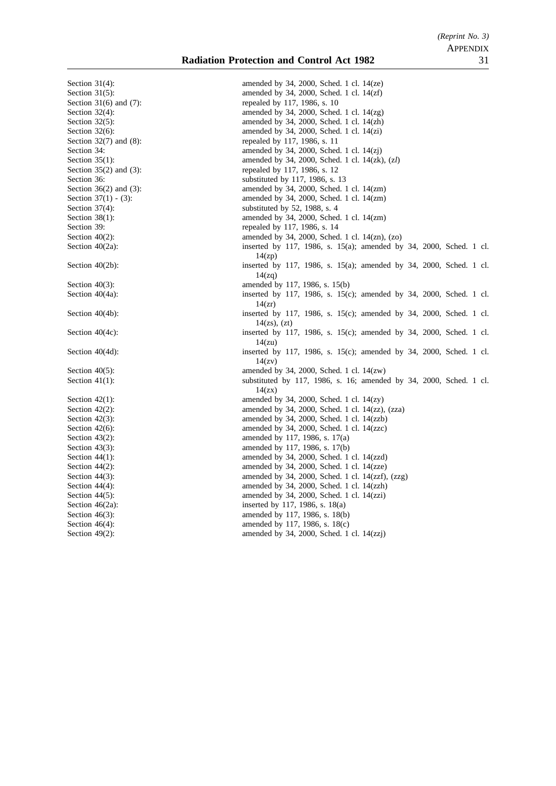#### **Radiation Protection and Control Act 1982** 31

Section 49(2): amended by 34, 2000, Sched. 1 cl. 14(zzj)

Section 31(4): amended by 34, 2000, Sched. 1 cl. 14(ze) Section 31(5): amended by 34, 2000, Sched. 1 cl. 14(zf)<br>Section 31(6) and (7): repealed by 117, 1986, s. 10 repealed by 117, 1986, s. 10 Section 32(4): amended by 34, 2000, Sched. 1 cl. 14(zg) Section 32(5): amended by 34, 2000, Sched. 1 cl. 14(zh) Section 32(6): amended by 34, 2000, Sched. 1 cl. 14(zi) Section 32(7) and (8): repealed by 117, 1986, s. 11 Section 34: amended by 34, 2000, Sched. 1 cl. 14(zj) Section 35(1): amended by 34, 2000, Sched. 1 cl. 14(zk), (z*l*) Section 35(2) and (3): repealed by 117, 1986, s. 12 Section 36: substituted by 117, 1986, s. 13 Section 36(2) and (3): amended by 34, 2000, Sched. 1 cl. 14(zm) Section 37(1) - (3): amended by 34, 2000, Sched. 1 cl. 14(zm) Section 37(4): substituted by 52, 1988, s. 4 Section 38(1): amended by 34, 2000, Sched. 1 cl. 14(zm) Section 39: repealed by 117, 1986, s. 14 Section 40(2): amended by 34, 2000, Sched. 1 cl. 14(zn), (zo) Section 40(2a): inserted by 117, 1986, s. 15(a); amended by 34, 2000, Sched. 1 cl. 14(zp) Section 40(2b): inserted by 117, 1986, s. 15(a); amended by 34, 2000, Sched. 1 cl. 14(zq) Section 40(3):<br>
Section 40(4a):<br>
Section 40(4a):<br>
Section 40(4a):<br>
Section 40(4a): inserted by 117, 1986, s.  $15(c)$ ; amended by 34, 2000, Sched. 1 cl.  $14(xr)$ Section 40(4b): inserted by 117, 1986, s. 15(c); amended by 34, 2000, Sched. 1 cl.  $14(zs)$ ,  $(zt)$ Section 40(4c): inserted by 117, 1986, s. 15(c); amended by 34, 2000, Sched. 1 cl. 14(zu) Section 40(4d): inserted by 117, 1986, s. 15(c); amended by 34, 2000, Sched. 1 cl. 14(zv) Section 40(5): amended by 34, 2000, Sched. 1 cl. 14(zw) Section 41(1): substituted by 117, 1986, s. 16; amended by 34, 2000, Sched. 1 cl.  $14(zx)$ Section 42(1): amended by 34, 2000, Sched. 1 cl. 14(zy) Section 42(2): amended by 34, 2000, Sched. 1 cl. 14(zz), (zza) Section 42(3): amended by 34, 2000, Sched. 1 cl. 14(zzb) Section 42(6): amended by 34, 2000, Sched. 1 cl. 14(zzc) Section 43(2): amended by 117, 1986, s. 17(a) Section 43(3): amended by 117, 1986, s. 17(b) Section 44(1): amended by 34, 2000, Sched. 1 cl. 14(zzd) Section 44(2): amended by 34, 2000, Sched. 1 cl. 14(zze) Section 44(3): amended by 34, 2000, Sched. 1 cl. 14(zzf), (zzg)<br>Section 44(4): amended by 34, 2000, Sched. 1 cl. 14(zzh) amended by 34, 2000, Sched. 1 cl. 14(zzh) Section 44(5): amended by 34, 2000, Sched. 1 cl. 14(zzi) Section 46(2a): inserted by 117, 1986, s. 18(a)<br>Section 46(3): inserted by 117, 1986, s. 18(b) amended by 117, 1986, s. 18(b) Section 46(4): amended by 117, 1986, s. 18(c)